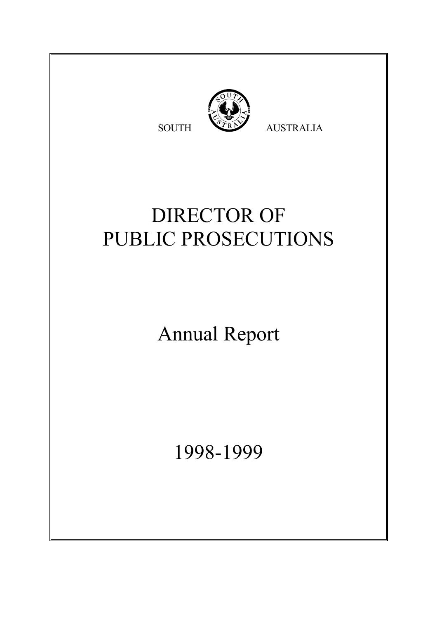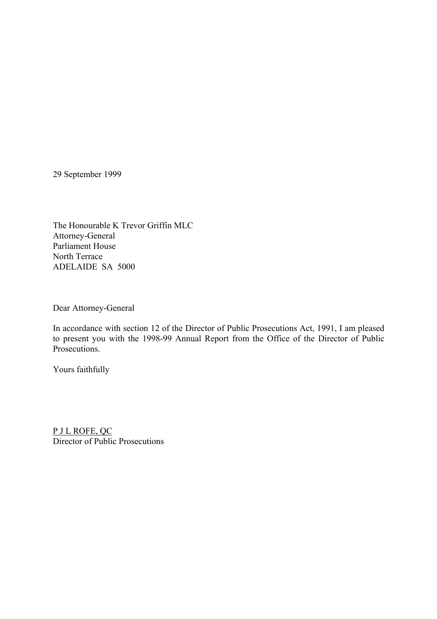29 September 1999

The Honourable K Trevor Griffin MLC Attorney-General Parliament House North Terrace ADELAIDE SA 5000

Dear Attorney-General

In accordance with section 12 of the Director of Public Prosecutions Act, 1991, I am pleased to present you with the 1998-99 Annual Report from the Office of the Director of Public Prosecutions.

Yours faithfully

P J L ROFE, QC Director of Public Prosecutions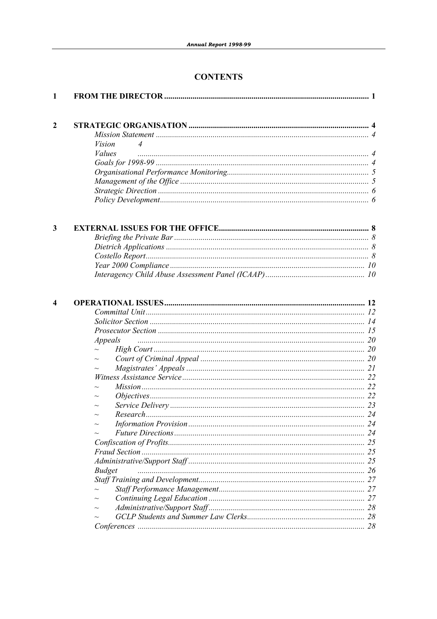# **CONTENTS**

| 1              |                    |    |
|----------------|--------------------|----|
| $\overline{2}$ |                    |    |
|                |                    |    |
|                | <i>Vision</i><br>4 |    |
|                | <i>Values</i>      |    |
|                |                    |    |
|                |                    |    |
|                |                    |    |
|                |                    |    |
|                |                    |    |
| 3              |                    |    |
|                |                    |    |
|                |                    |    |
|                |                    |    |
|                |                    |    |
|                |                    |    |
| 4              |                    |    |
|                |                    |    |
|                |                    |    |
|                | Appeals            |    |
|                |                    |    |
|                |                    |    |
|                |                    |    |
|                |                    |    |
|                |                    |    |
|                |                    |    |
|                |                    |    |
|                |                    |    |
|                |                    | 24 |
|                |                    |    |
|                |                    |    |
|                |                    |    |
|                |                    | 25 |
|                | <b>Budget</b>      | 26 |
|                |                    | 27 |
|                |                    | 27 |
|                |                    | 27 |
|                |                    | 28 |
|                |                    |    |
|                |                    |    |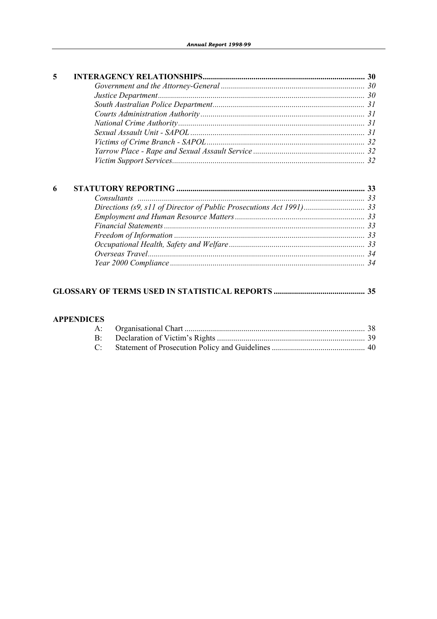| 5 |  |
|---|--|
|   |  |
|   |  |
|   |  |
|   |  |
|   |  |
|   |  |
|   |  |
|   |  |
|   |  |
|   |  |

# 

#### **APPENDICES**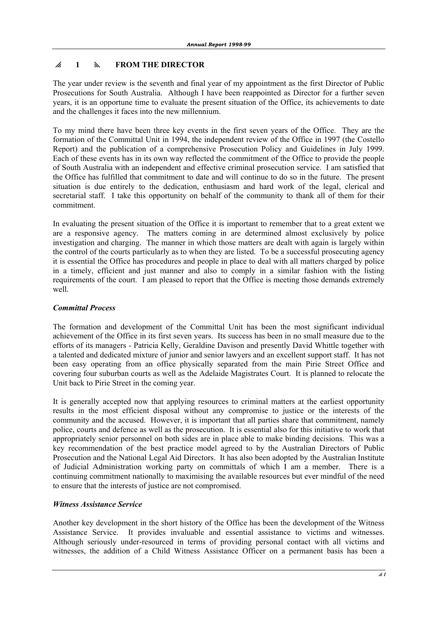# p **1** y **FROM THE DIRECTOR**

The year under review is the seventh and final year of my appointment as the first Director of Public Prosecutions for South Australia. Although I have been reappointed as Director for a further seven years, it is an opportune time to evaluate the present situation of the Office, its achievements to date and the challenges it faces into the new millennium.

To my mind there have been three key events in the first seven years of the Office. They are the formation of the Committal Unit in 1994, the independent review of the Office in 1997 (the Costello Report) and the publication of a comprehensive Prosecution Policy and Guidelines in July 1999. Each of these events has in its own way reflected the commitment of the Office to provide the people of South Australia with an independent and effective criminal prosecution service. I am satisfied that the Office has fulfilled that commitment to date and will continue to do so in the future. The present situation is due entirely to the dedication, enthusiasm and hard work of the legal, clerical and secretarial staff. I take this opportunity on behalf of the community to thank all of them for their commitment.

In evaluating the present situation of the Office it is important to remember that to a great extent we are a responsive agency. The matters coming in are determined almost exclusively by police investigation and charging. The manner in which those matters are dealt with again is largely within the control of the courts particularly as to when they are listed. To be a successful prosecuting agency it is essential the Office has procedures and people in place to deal with all matters charged by police in a timely, efficient and just manner and also to comply in a similar fashion with the listing requirements of the court. I am pleased to report that the Office is meeting those demands extremely well.

# *Committal Process*

The formation and development of the Committal Unit has been the most significant individual achievement of the Office in its first seven years. Its success has been in no small measure due to the efforts of its managers - Patricia Kelly, Geraldine Davison and presently David Whittle together with a talented and dedicated mixture of junior and senior lawyers and an excellent support staff. It has not been easy operating from an office physically separated from the main Pirie Street Office and covering four suburban courts as well as the Adelaide Magistrates Court. It is planned to relocate the Unit back to Pirie Street in the coming year.

It is generally accepted now that applying resources to criminal matters at the earliest opportunity results in the most efficient disposal without any compromise to justice or the interests of the community and the accused. However, it is important that all parties share that commitment, namely police, courts and defence as well as the prosecution. It is essential also for this initiative to work that appropriately senior personnel on both sides are in place able to make binding decisions. This was a key recommendation of the best practice model agreed to by the Australian Directors of Public Prosecution and the National Legal Aid Directors. It has also been adopted by the Australian Institute of Judicial Administration working party on committals of which I am a member. There is a continuing commitment nationally to maximising the available resources but ever mindful of the need to ensure that the interests of justice are not compromised.

### *Witness Assistance Service*

Another key development in the short history of the Office has been the development of the Witness Assistance Service. It provides invaluable and essential assistance to victims and witnesses. Although seriously under-resourced in terms of providing personal contact with all victims and witnesses, the addition of a Child Witness Assistance Officer on a permanent basis has been a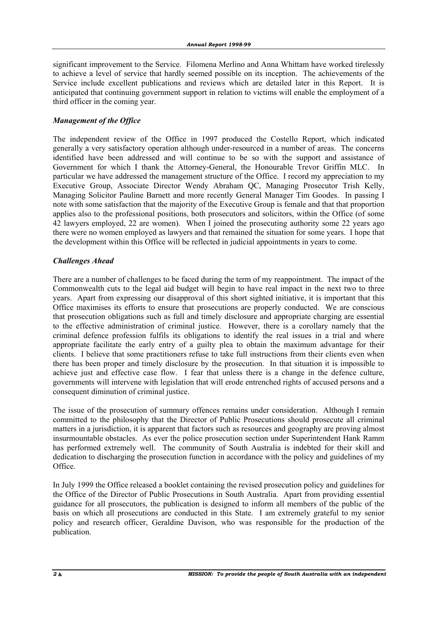significant improvement to the Service. Filomena Merlino and Anna Whittam have worked tirelessly to achieve a level of service that hardly seemed possible on its inception. The achievements of the Service include excellent publications and reviews which are detailed later in this Report. It is anticipated that continuing government support in relation to victims will enable the employment of a third officer in the coming year.

### *Management of the Office*

The independent review of the Office in 1997 produced the Costello Report, which indicated generally a very satisfactory operation although under-resourced in a number of areas. The concerns identified have been addressed and will continue to be so with the support and assistance of Government for which I thank the Attorney-General, the Honourable Trevor Griffin MLC. In particular we have addressed the management structure of the Office. I record my appreciation to my Executive Group, Associate Director Wendy Abraham QC, Managing Prosecutor Trish Kelly, Managing Solicitor Pauline Barnett and more recently General Manager Tim Goodes. In passing I note with some satisfaction that the majority of the Executive Group is female and that that proportion applies also to the professional positions, both prosecutors and solicitors, within the Office (of some 42 lawyers employed, 22 are women). When I joined the prosecuting authority some 22 years ago there were no women employed as lawyers and that remained the situation for some years. I hope that the development within this Office will be reflected in judicial appointments in years to come.

#### *Challenges Ahead*

There are a number of challenges to be faced during the term of my reappointment. The impact of the Commonwealth cuts to the legal aid budget will begin to have real impact in the next two to three years. Apart from expressing our disapproval of this short sighted initiative, it is important that this Office maximises its efforts to ensure that prosecutions are properly conducted. We are conscious that prosecution obligations such as full and timely disclosure and appropriate charging are essential to the effective administration of criminal justice. However, there is a corollary namely that the criminal defence profession fulfils its obligations to identify the real issues in a trial and where appropriate facilitate the early entry of a guilty plea to obtain the maximum advantage for their clients. I believe that some practitioners refuse to take full instructions from their clients even when there has been proper and timely disclosure by the prosecution. In that situation it is impossible to achieve just and effective case flow. I fear that unless there is a change in the defence culture, governments will intervene with legislation that will erode entrenched rights of accused persons and a consequent diminution of criminal justice.

The issue of the prosecution of summary offences remains under consideration. Although I remain committed to the philosophy that the Director of Public Prosecutions should prosecute all criminal matters in a jurisdiction, it is apparent that factors such as resources and geography are proving almost insurmountable obstacles. As ever the police prosecution section under Superintendent Hank Ramm has performed extremely well. The community of South Australia is indebted for their skill and dedication to discharging the prosecution function in accordance with the policy and guidelines of my Office.

In July 1999 the Office released a booklet containing the revised prosecution policy and guidelines for the Office of the Director of Public Prosecutions in South Australia. Apart from providing essential guidance for all prosecutors, the publication is designed to inform all members of the public of the basis on which all prosecutions are conducted in this State. I am extremely grateful to my senior policy and research officer, Geraldine Davison, who was responsible for the production of the publication.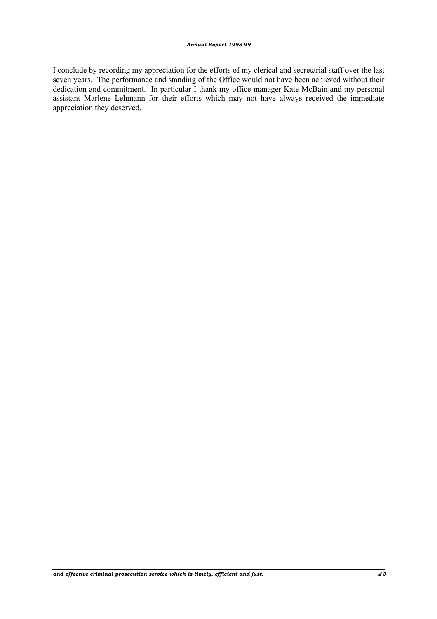I conclude by recording my appreciation for the efforts of my clerical and secretarial staff over the last seven years. The performance and standing of the Office would not have been achieved without their dedication and commitment. In particular I thank my office manager Kate McBain and my personal assistant Marlene Lehmann for their efforts which may not have always received the immediate appreciation they deserved.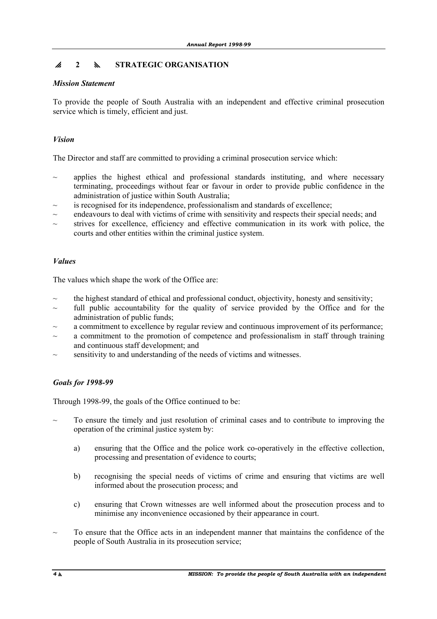# p **2** y **STRATEGIC ORGANISATION**

# *Mission Statement*

To provide the people of South Australia with an independent and effective criminal prosecution service which is timely, efficient and just.

# *Vision*

The Director and staff are committed to providing a criminal prosecution service which:

- applies the highest ethical and professional standards instituting, and where necessary terminating, proceedings without fear or favour in order to provide public confidence in the administration of justice within South Australia;
- is recognised for its independence, professionalism and standards of excellence;
- ~ endeavours to deal with victims of crime with sensitivity and respects their special needs; and
- $\sim$  strives for excellence, efficiency and effective communication in its work with police, the courts and other entities within the criminal justice system.

# *Values*

The values which shape the work of the Office are:

- the highest standard of ethical and professional conduct, objectivity, honesty and sensitivity;
- full public accountability for the quality of service provided by the Office and for the administration of public funds;
- a commitment to excellence by regular review and continuous improvement of its performance;
- $\sim$  a commitment to the promotion of competence and professionalism in staff through training and continuous staff development; and
- sensitivity to and understanding of the needs of victims and witnesses.

# *Goals for 1998-99*

Through 1998-99, the goals of the Office continued to be:

- To ensure the timely and just resolution of criminal cases and to contribute to improving the operation of the criminal justice system by:
	- a) ensuring that the Office and the police work co-operatively in the effective collection, processing and presentation of evidence to courts;
	- b) recognising the special needs of victims of crime and ensuring that victims are well informed about the prosecution process; and
	- c) ensuring that Crown witnesses are well informed about the prosecution process and to minimise any inconvenience occasioned by their appearance in court.
- To ensure that the Office acts in an independent manner that maintains the confidence of the people of South Australia in its prosecution service;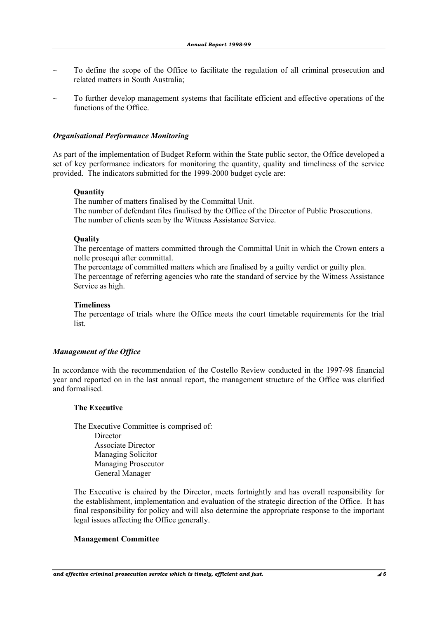- ~ To define the scope of the Office to facilitate the regulation of all criminal prosecution and related matters in South Australia;
- To further develop management systems that facilitate efficient and effective operations of the functions of the Office.

#### *Organisational Performance Monitoring*

As part of the implementation of Budget Reform within the State public sector, the Office developed a set of key performance indicators for monitoring the quantity, quality and timeliness of the service provided. The indicators submitted for the 1999-2000 budget cycle are:

#### **Quantity**

 The number of matters finalised by the Committal Unit. The number of defendant files finalised by the Office of the Director of Public Prosecutions. The number of clients seen by the Witness Assistance Service.

#### **Quality**

 The percentage of matters committed through the Committal Unit in which the Crown enters a nolle prosequi after committal.

 The percentage of committed matters which are finalised by a guilty verdict or guilty plea. The percentage of referring agencies who rate the standard of service by the Witness Assistance Service as high.

#### **Timeliness**

 The percentage of trials where the Office meets the court timetable requirements for the trial list.

#### *Management of the Office*

In accordance with the recommendation of the Costello Review conducted in the 1997-98 financial year and reported on in the last annual report, the management structure of the Office was clarified and formalised.

#### **The Executive**

 The Executive Committee is comprised of: **Director**  Associate Director Managing Solicitor Managing Prosecutor General Manager

 The Executive is chaired by the Director, meets fortnightly and has overall responsibility for the establishment, implementation and evaluation of the strategic direction of the Office. It has final responsibility for policy and will also determine the appropriate response to the important legal issues affecting the Office generally.

#### **Management Committee**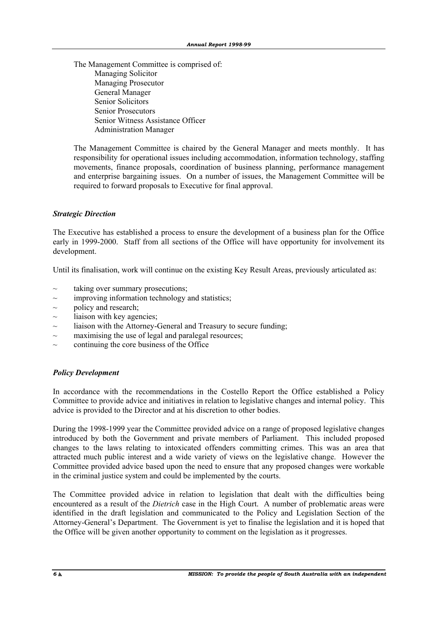The Management Committee is comprised of: Managing Solicitor Managing Prosecutor General Manager Senior Solicitors Senior Prosecutors Senior Witness Assistance Officer Administration Manager

 The Management Committee is chaired by the General Manager and meets monthly. It has responsibility for operational issues including accommodation, information technology, staffing movements, finance proposals, coordination of business planning, performance management and enterprise bargaining issues. On a number of issues, the Management Committee will be required to forward proposals to Executive for final approval.

#### *Strategic Direction*

The Executive has established a process to ensure the development of a business plan for the Office early in 1999-2000. Staff from all sections of the Office will have opportunity for involvement its development.

Until its finalisation, work will continue on the existing Key Result Areas, previously articulated as:

- $\sim$  taking over summary prosecutions:
- $\sim$  improving information technology and statistics;
- $\sim$  policy and research;
- $\sim$  liaison with key agencies;
- liaison with the Attorney-General and Treasury to secure funding;
- $\sim$  maximising the use of legal and paralegal resources;
- ~ continuing the core business of the Office

#### *Policy Development*

In accordance with the recommendations in the Costello Report the Office established a Policy Committee to provide advice and initiatives in relation to legislative changes and internal policy. This advice is provided to the Director and at his discretion to other bodies.

During the 1998-1999 year the Committee provided advice on a range of proposed legislative changes introduced by both the Government and private members of Parliament. This included proposed changes to the laws relating to intoxicated offenders committing crimes. This was an area that attracted much public interest and a wide variety of views on the legislative change. However the Committee provided advice based upon the need to ensure that any proposed changes were workable in the criminal justice system and could be implemented by the courts.

The Committee provided advice in relation to legislation that dealt with the difficulties being encountered as a result of the *Dietrich* case in the High Court. A number of problematic areas were identified in the draft legislation and communicated to the Policy and Legislation Section of the Attorney-General's Department. The Government is yet to finalise the legislation and it is hoped that the Office will be given another opportunity to comment on the legislation as it progresses.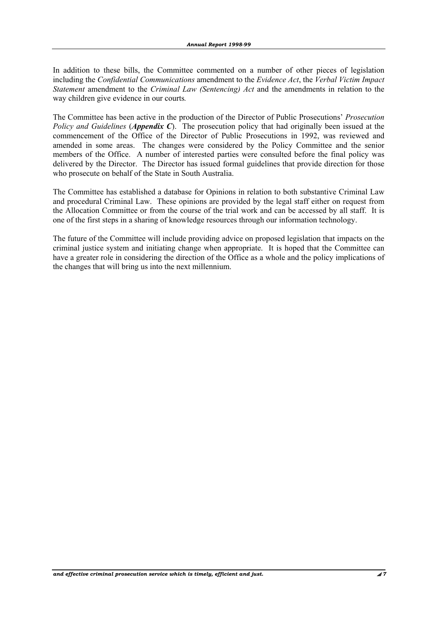In addition to these bills, the Committee commented on a number of other pieces of legislation including the *Confidential Communications* amendment to the *Evidence Act*, the *Verbal Victim Impact Statement* amendment to the *Criminal Law (Sentencing) Act* and the amendments in relation to the way children give evidence in our courts*.* 

The Committee has been active in the production of the Director of Public Prosecutions' *Prosecution Policy and Guidelines* (*Appendix C*). The prosecution policy that had originally been issued at the commencement of the Office of the Director of Public Prosecutions in 1992, was reviewed and amended in some areas. The changes were considered by the Policy Committee and the senior members of the Office. A number of interested parties were consulted before the final policy was delivered by the Director. The Director has issued formal guidelines that provide direction for those who prosecute on behalf of the State in South Australia.

The Committee has established a database for Opinions in relation to both substantive Criminal Law and procedural Criminal Law. These opinions are provided by the legal staff either on request from the Allocation Committee or from the course of the trial work and can be accessed by all staff. It is one of the first steps in a sharing of knowledge resources through our information technology.

The future of the Committee will include providing advice on proposed legislation that impacts on the criminal justice system and initiating change when appropriate. It is hoped that the Committee can have a greater role in considering the direction of the Office as a whole and the policy implications of the changes that will bring us into the next millennium.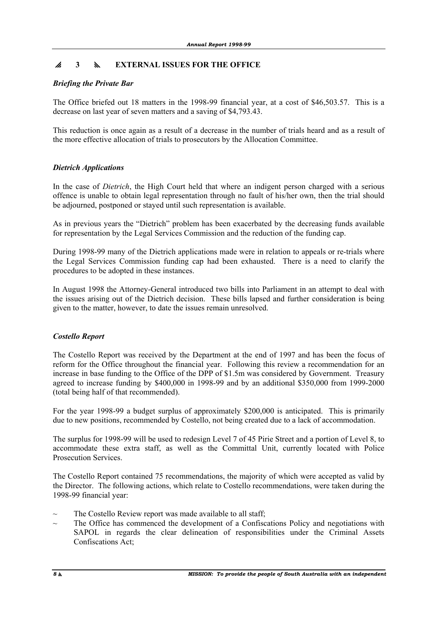# p **3** y **EXTERNAL ISSUES FOR THE OFFICE**

# *Briefing the Private Bar*

The Office briefed out 18 matters in the 1998-99 financial year, at a cost of \$46,503.57. This is a decrease on last year of seven matters and a saving of \$4,793.43.

This reduction is once again as a result of a decrease in the number of trials heard and as a result of the more effective allocation of trials to prosecutors by the Allocation Committee.

# *Dietrich Applications*

In the case of *Dietrich*, the High Court held that where an indigent person charged with a serious offence is unable to obtain legal representation through no fault of his/her own, then the trial should be adjourned, postponed or stayed until such representation is available.

As in previous years the "Dietrich" problem has been exacerbated by the decreasing funds available for representation by the Legal Services Commission and the reduction of the funding cap.

During 1998-99 many of the Dietrich applications made were in relation to appeals or re-trials where the Legal Services Commission funding cap had been exhausted. There is a need to clarify the procedures to be adopted in these instances.

In August 1998 the Attorney-General introduced two bills into Parliament in an attempt to deal with the issues arising out of the Dietrich decision. These bills lapsed and further consideration is being given to the matter, however, to date the issues remain unresolved.

### *Costello Report*

The Costello Report was received by the Department at the end of 1997 and has been the focus of reform for the Office throughout the financial year. Following this review a recommendation for an increase in base funding to the Office of the DPP of \$1.5m was considered by Government. Treasury agreed to increase funding by \$400,000 in 1998-99 and by an additional \$350,000 from 1999-2000 (total being half of that recommended).

For the year 1998-99 a budget surplus of approximately \$200,000 is anticipated. This is primarily due to new positions, recommended by Costello, not being created due to a lack of accommodation.

The surplus for 1998-99 will be used to redesign Level 7 of 45 Pirie Street and a portion of Level 8, to accommodate these extra staff, as well as the Committal Unit, currently located with Police Prosecution Services.

The Costello Report contained 75 recommendations, the majority of which were accepted as valid by the Director. The following actions, which relate to Costello recommendations, were taken during the 1998-99 financial year:

- The Costello Review report was made available to all staff;
- The Office has commenced the development of a Confiscations Policy and negotiations with SAPOL in regards the clear delineation of responsibilities under the Criminal Assets Confiscations Act;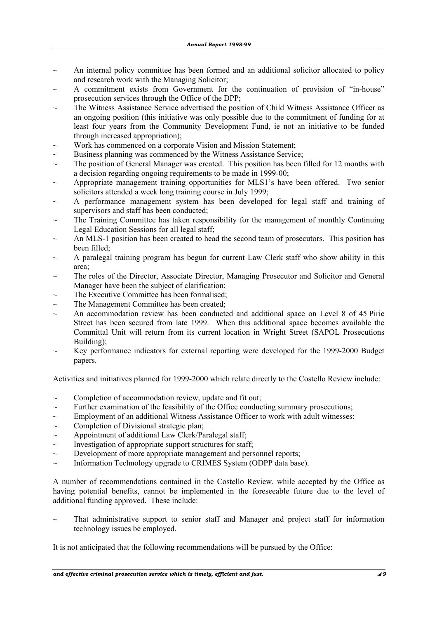- An internal policy committee has been formed and an additional solicitor allocated to policy and research work with the Managing Solicitor;
- A commitment exists from Government for the continuation of provision of "in-house" prosecution services through the Office of the DPP;
- The Witness Assistance Service advertised the position of Child Witness Assistance Officer as an ongoing position (this initiative was only possible due to the commitment of funding for at least four years from the Community Development Fund, ie not an initiative to be funded through increased appropriation);
- ~ Work has commenced on a corporate Vision and Mission Statement;
- Business planning was commenced by the Witness Assistance Service;
- The position of General Manager was created. This position has been filled for 12 months with a decision regarding ongoing requirements to be made in 1999-00;
- $\sim$  Appropriate management training opportunities for MLS1's have been offered. Two senior solicitors attended a week long training course in July 1999;
- A performance management system has been developed for legal staff and training of supervisors and staff has been conducted;
- The Training Committee has taken responsibility for the management of monthly Continuing Legal Education Sessions for all legal staff;
- An MLS-1 position has been created to head the second team of prosecutors. This position has been filled;
- A paralegal training program has begun for current Law Clerk staff who show ability in this area;
- The roles of the Director, Associate Director, Managing Prosecutor and Solicitor and General Manager have been the subject of clarification;
- The Executive Committee has been formalised:
- The Management Committee has been created;
- An accommodation review has been conducted and additional space on Level 8 of 45 Pirie Street has been secured from late 1999. When this additional space becomes available the Committal Unit will return from its current location in Wright Street (SAPOL Prosecutions Building);
- Key performance indicators for external reporting were developed for the 1999-2000 Budget papers.

Activities and initiatives planned for 1999-2000 which relate directly to the Costello Review include:

- $\sim$  Completion of accommodation review, update and fit out;
- $\sim$  Further examination of the feasibility of the Office conducting summary prosecutions;
- $\sim$  Employment of an additional Witness Assistance Officer to work with adult witnesses;
- $\sim$  Completion of Divisional strategic plan;
- $\sim$  Appointment of additional Law Clerk/Paralegal staff;
- $\sim$  Investigation of appropriate support structures for staff;
- Development of more appropriate management and personnel reports;
- $\sim$  Information Technology upgrade to CRIMES System (ODPP data base).

A number of recommendations contained in the Costello Review, while accepted by the Office as having potential benefits, cannot be implemented in the foreseeable future due to the level of additional funding approved. These include:

That administrative support to senior staff and Manager and project staff for information technology issues be employed.

It is not anticipated that the following recommendations will be pursued by the Office: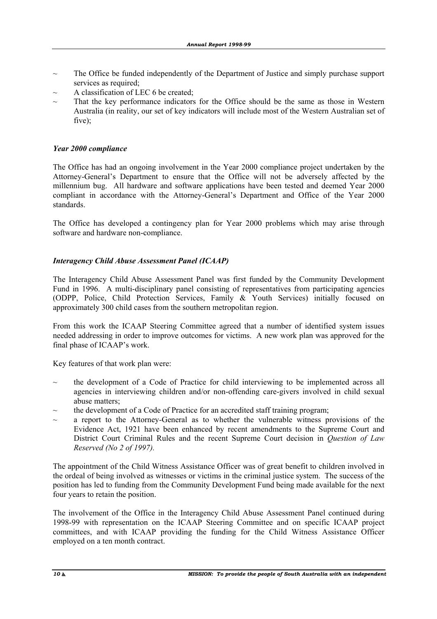- The Office be funded independently of the Department of Justice and simply purchase support services as required;
- $\sim$  A classification of LEC 6 be created;
- $\sim$  That the key performance indicators for the Office should be the same as those in Western Australia (in reality, our set of key indicators will include most of the Western Australian set of five);

#### *Year 2000 compliance*

The Office has had an ongoing involvement in the Year 2000 compliance project undertaken by the Attorney-General's Department to ensure that the Office will not be adversely affected by the millennium bug. All hardware and software applications have been tested and deemed Year 2000 compliant in accordance with the Attorney-General's Department and Office of the Year 2000 standards.

The Office has developed a contingency plan for Year 2000 problems which may arise through software and hardware non-compliance.

#### *Interagency Child Abuse Assessment Panel (ICAAP)*

The Interagency Child Abuse Assessment Panel was first funded by the Community Development Fund in 1996. A multi-disciplinary panel consisting of representatives from participating agencies (ODPP, Police, Child Protection Services, Family & Youth Services) initially focused on approximately 300 child cases from the southern metropolitan region.

From this work the ICAAP Steering Committee agreed that a number of identified system issues needed addressing in order to improve outcomes for victims. A new work plan was approved for the final phase of ICAAP's work.

Key features of that work plan were:

- the development of a Code of Practice for child interviewing to be implemented across all agencies in interviewing children and/or non-offending care-givers involved in child sexual abuse matters;
- the development of a Code of Practice for an accredited staff training program;
- a report to the Attorney-General as to whether the vulnerable witness provisions of the Evidence Act, 1921 have been enhanced by recent amendments to the Supreme Court and District Court Criminal Rules and the recent Supreme Court decision in *Question of Law Reserved (No 2 of 1997).*

The appointment of the Child Witness Assistance Officer was of great benefit to children involved in the ordeal of being involved as witnesses or victims in the criminal justice system. The success of the position has led to funding from the Community Development Fund being made available for the next four years to retain the position.

The involvement of the Office in the Interagency Child Abuse Assessment Panel continued during 1998-99 with representation on the ICAAP Steering Committee and on specific ICAAP project committees, and with ICAAP providing the funding for the Child Witness Assistance Officer employed on a ten month contract.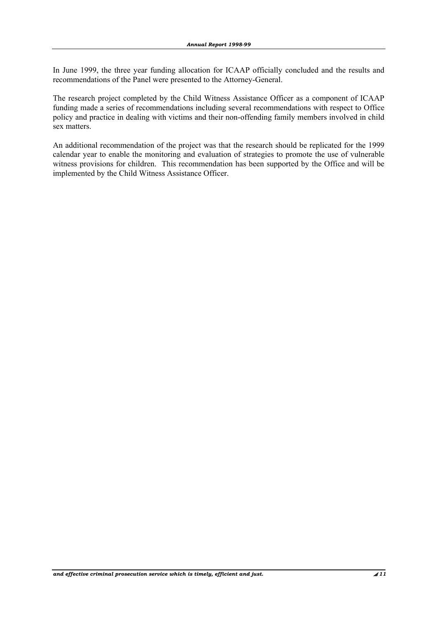In June 1999, the three year funding allocation for ICAAP officially concluded and the results and recommendations of the Panel were presented to the Attorney-General.

The research project completed by the Child Witness Assistance Officer as a component of ICAAP funding made a series of recommendations including several recommendations with respect to Office policy and practice in dealing with victims and their non-offending family members involved in child sex matters.

An additional recommendation of the project was that the research should be replicated for the 1999 calendar year to enable the monitoring and evaluation of strategies to promote the use of vulnerable witness provisions for children. This recommendation has been supported by the Office and will be implemented by the Child Witness Assistance Officer.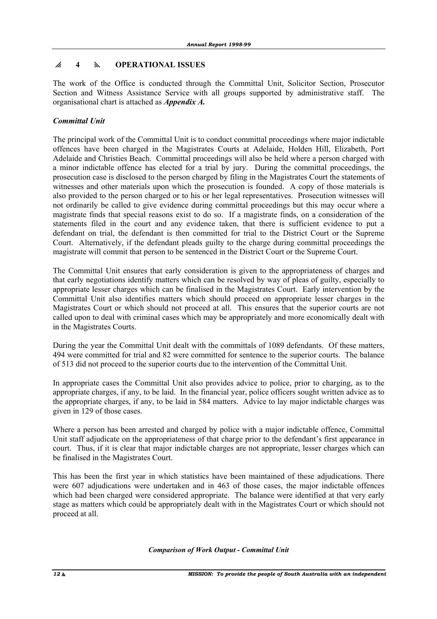# p **4** y **OPERATIONAL ISSUES**

The work of the Office is conducted through the Committal Unit, Solicitor Section, Prosecutor Section and Witness Assistance Service with all groups supported by administrative staff. The organisational chart is attached as *Appendix A.*

# *Committal Unit*

The principal work of the Committal Unit is to conduct committal proceedings where major indictable offences have been charged in the Magistrates Courts at Adelaide, Holden Hill, Elizabeth, Port Adelaide and Christies Beach. Committal proceedings will also be held where a person charged with a minor indictable offence has elected for a trial by jury. During the committal proceedings, the prosecution case is disclosed to the person charged by filing in the Magistrates Court the statements of witnesses and other materials upon which the prosecution is founded. A copy of those materials is also provided to the person charged or to his or her legal representatives. Prosecution witnesses will not ordinarily be called to give evidence during committal proceedings but this may occur where a magistrate finds that special reasons exist to do so. If a magistrate finds, on a consideration of the statements filed in the court and any evidence taken, that there is sufficient evidence to put a defendant on trial, the defendant is then committed for trial to the District Court or the Supreme Court. Alternatively, if the defendant pleads guilty to the charge during committal proceedings the magistrate will commit that person to be sentenced in the District Court or the Supreme Court.

The Committal Unit ensures that early consideration is given to the appropriateness of charges and that early negotiations identify matters which can be resolved by way of pleas of guilty, especially to appropriate lesser charges which can be finalised in the Magistrates Court. Early intervention by the Committal Unit also identifies matters which should proceed on appropriate lesser charges in the Magistrates Court or which should not proceed at all. This ensures that the superior courts are not called upon to deal with criminal cases which may be appropriately and more economically dealt with in the Magistrates Courts.

During the year the Committal Unit dealt with the committals of 1089 defendants. Of these matters, 494 were committed for trial and 82 were committed for sentence to the superior courts. The balance of 513 did not proceed to the superior courts due to the intervention of the Committal Unit.

In appropriate cases the Committal Unit also provides advice to police, prior to charging, as to the appropriate charges, if any, to be laid. In the financial year, police officers sought written advice as to the appropriate charges, if any, to be laid in 584 matters. Advice to lay major indictable charges was given in 129 of those cases.

Where a person has been arrested and charged by police with a major indictable offence, Committal Unit staff adjudicate on the appropriateness of that charge prior to the defendant's first appearance in court. Thus, if it is clear that major indictable charges are not appropriate, lesser charges which can be finalised in the Magistrates Court.

This has been the first year in which statistics have been maintained of these adjudications. There were 607 adjudications were undertaken and in 463 of those cases, the major indictable offences which had been charged were considered appropriate. The balance were identified at that very early stage as matters which could be appropriately dealt with in the Magistrates Court or which should not proceed at all.

*Comparison of Work Output - Committal Unit*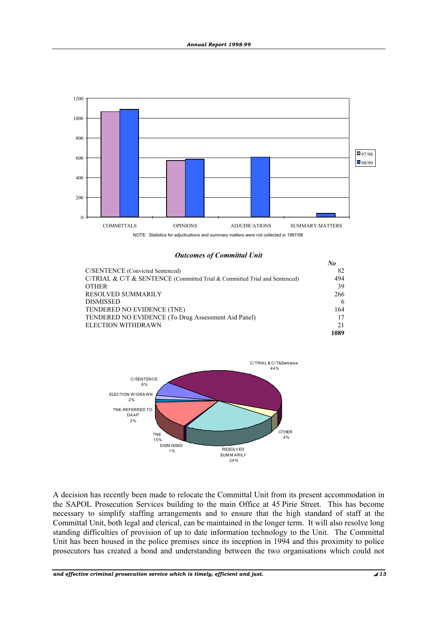

*Outcomes of Committal Unit*

|                                                                            | No   |
|----------------------------------------------------------------------------|------|
| C/SENTENCE (Convicted Sentenced)                                           | 82   |
| C/TRIAL & C/T & SENTENCE (Committed Trial & Committed Trial and Sentenced) | 494  |
| <b>OTHER</b>                                                               | 39   |
| <b>RESOLVED SUMMARILY</b>                                                  | 266  |
| <b>DISMISSED</b>                                                           | 6    |
| TENDERED NO EVIDENCE (TNE)                                                 | 164  |
| TENDERED NO EVIDENCE (To Drug Assessment Aid Panel)                        | 17   |
| <b>ELECTION WITHDRAWN</b>                                                  | 21   |
|                                                                            | 1089 |



A decision has recently been made to relocate the Committal Unit from its present accommodation in the SAPOL Prosecution Services building to the main Office at 45 Pirie Street. This has become necessary to simplify staffing arrangements and to ensure that the high standard of staff at the Committal Unit, both legal and clerical, can be maintained in the longer term. It will also resolve long standing difficulties of provision of up to date information technology to the Unit. The Committal Unit has been housed in the police premises since its inception in 1994 and this proximity to police prosecutors has created a bond and understanding between the two organisations which could not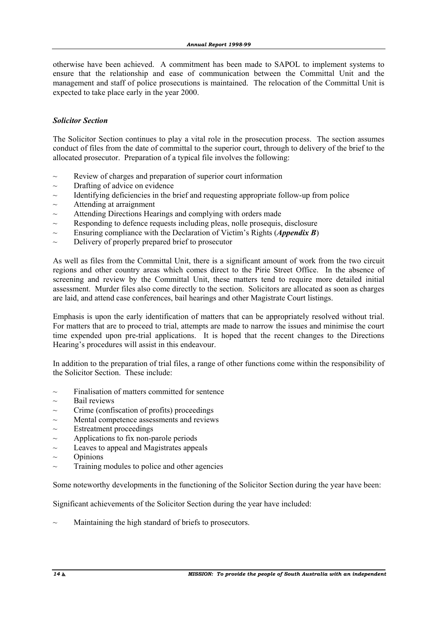otherwise have been achieved. A commitment has been made to SAPOL to implement systems to ensure that the relationship and ease of communication between the Committal Unit and the management and staff of police prosecutions is maintained. The relocation of the Committal Unit is expected to take place early in the year 2000.

#### *Solicitor Section*

The Solicitor Section continues to play a vital role in the prosecution process. The section assumes conduct of files from the date of committal to the superior court, through to delivery of the brief to the allocated prosecutor. Preparation of a typical file involves the following:

- $\sim$  Review of charges and preparation of superior court information
- $\sim$  Drafting of advice on evidence
- $\sim$  Identifying deficiencies in the brief and requesting appropriate follow-up from police
- $\sim$  Attending at arraignment
- $\sim$  Attending Directions Hearings and complying with orders made
- $\sim$  Responding to defence requests including pleas, nolle prosequis, disclosure
- $\sim$  Ensuring compliance with the Declaration of Victim's Rights *(Appendix B)*
- $\sim$  Delivery of properly prepared brief to prosecutor

As well as files from the Committal Unit, there is a significant amount of work from the two circuit regions and other country areas which comes direct to the Pirie Street Office. In the absence of screening and review by the Committal Unit, these matters tend to require more detailed initial assessment. Murder files also come directly to the section. Solicitors are allocated as soon as charges are laid, and attend case conferences, bail hearings and other Magistrate Court listings.

Emphasis is upon the early identification of matters that can be appropriately resolved without trial. For matters that are to proceed to trial, attempts are made to narrow the issues and minimise the court time expended upon pre-trial applications. It is hoped that the recent changes to the Directions Hearing's procedures will assist in this endeavour.

In addition to the preparation of trial files, a range of other functions come within the responsibility of the Solicitor Section. These include:

- $\sim$  Finalisation of matters committed for sentence
- $\sim$  Bail reviews
- $\sim$  Crime (confiscation of profits) proceedings
- Mental competence assessments and reviews
- Estreatment proceedings
- $\sim$  Applications to fix non-parole periods
- $\sim$  Leaves to appeal and Magistrates appeals
- $\sim$  Opinions
- Training modules to police and other agencies

Some noteworthy developments in the functioning of the Solicitor Section during the year have been:

Significant achievements of the Solicitor Section during the year have included:

Maintaining the high standard of briefs to prosecutors.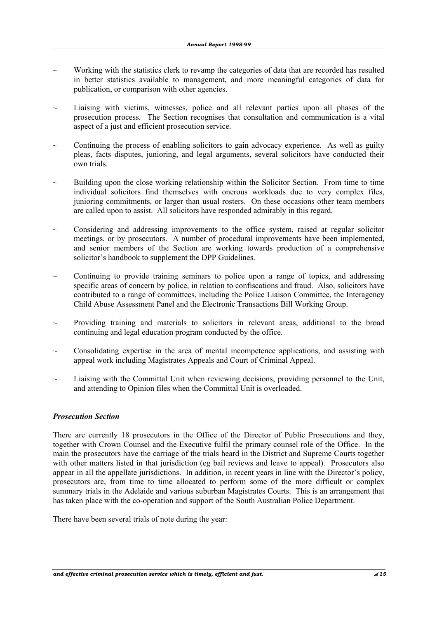- ~ Working with the statistics clerk to revamp the categories of data that are recorded has resulted in better statistics available to management, and more meaningful categories of data for publication, or comparison with other agencies.
- Liaising with victims, witnesses, police and all relevant parties upon all phases of the prosecution process. The Section recognises that consultation and communication is a vital aspect of a just and efficient prosecution service.
- Continuing the process of enabling solicitors to gain advocacy experience. As well as guilty pleas, facts disputes, junioring, and legal arguments, several solicitors have conducted their own trials.
- Building upon the close working relationship within the Solicitor Section. From time to time individual solicitors find themselves with onerous workloads due to very complex files, junioring commitments, or larger than usual rosters. On these occasions other team members are called upon to assist. All solicitors have responded admirably in this regard.
- ~ Considering and addressing improvements to the office system, raised at regular solicitor meetings, or by prosecutors. A number of procedural improvements have been implemented, and senior members of the Section are working towards production of a comprehensive solicitor's handbook to supplement the DPP Guidelines.
- ~ Continuing to provide training seminars to police upon a range of topics, and addressing specific areas of concern by police, in relation to confiscations and fraud. Also, solicitors have contributed to a range of committees, including the Police Liaison Committee, the Interagency Child Abuse Assessment Panel and the Electronic Transactions Bill Working Group.
- ~ Providing training and materials to solicitors in relevant areas, additional to the broad continuing and legal education program conducted by the office.
- ~ Consolidating expertise in the area of mental incompetence applications, and assisting with appeal work including Magistrates Appeals and Court of Criminal Appeal.
- Liaising with the Committal Unit when reviewing decisions, providing personnel to the Unit, and attending to Opinion files when the Committal Unit is overloaded.

#### *Prosecution Section*

There are currently 18 prosecutors in the Office of the Director of Public Prosecutions and they, together with Crown Counsel and the Executive fulfil the primary counsel role of the Office. In the main the prosecutors have the carriage of the trials heard in the District and Supreme Courts together with other matters listed in that jurisdiction (eg bail reviews and leave to appeal). Prosecutors also appear in all the appellate jurisdictions. In addition, in recent years in line with the Director's policy, prosecutors are, from time to time allocated to perform some of the more difficult or complex summary trials in the Adelaide and various suburban Magistrates Courts. This is an arrangement that has taken place with the co-operation and support of the South Australian Police Department.

There have been several trials of note during the year: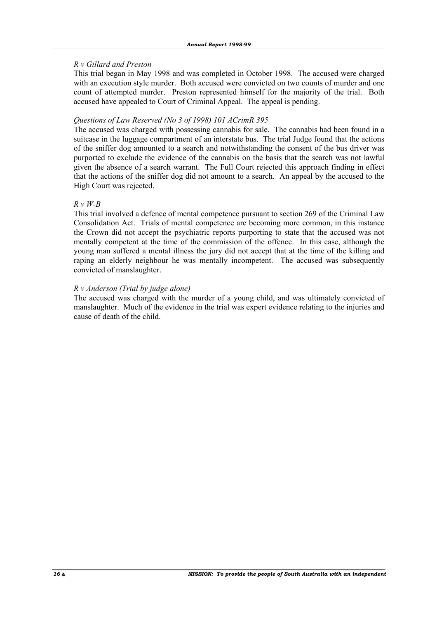### *R v Gillard and Preston*

 This trial began in May 1998 and was completed in October 1998. The accused were charged with an execution style murder. Both accused were convicted on two counts of murder and one count of attempted murder. Preston represented himself for the majority of the trial. Both accused have appealed to Court of Criminal Appeal. The appeal is pending.

#### *Questions of Law Reserved (No 3 of 1998) 101 ACrimR 395*

 The accused was charged with possessing cannabis for sale. The cannabis had been found in a suitcase in the luggage compartment of an interstate bus. The trial Judge found that the actions of the sniffer dog amounted to a search and notwithstanding the consent of the bus driver was purported to exclude the evidence of the cannabis on the basis that the search was not lawful given the absence of a search warrant. The Full Court rejected this approach finding in effect that the actions of the sniffer dog did not amount to a search. An appeal by the accused to the High Court was rejected.

#### *R v W-B*

 This trial involved a defence of mental competence pursuant to section 269 of the Criminal Law Consolidation Act. Trials of mental competence are becoming more common, in this instance the Crown did not accept the psychiatric reports purporting to state that the accused was not mentally competent at the time of the commission of the offence. In this case, although the young man suffered a mental illness the jury did not accept that at the time of the killing and raping an elderly neighbour he was mentally incompetent. The accused was subsequently convicted of manslaughter.

#### *R v Anderson (Trial by judge alone)*

The accused was charged with the murder of a young child, and was ultimately convicted of manslaughter. Much of the evidence in the trial was expert evidence relating to the injuries and cause of death of the child.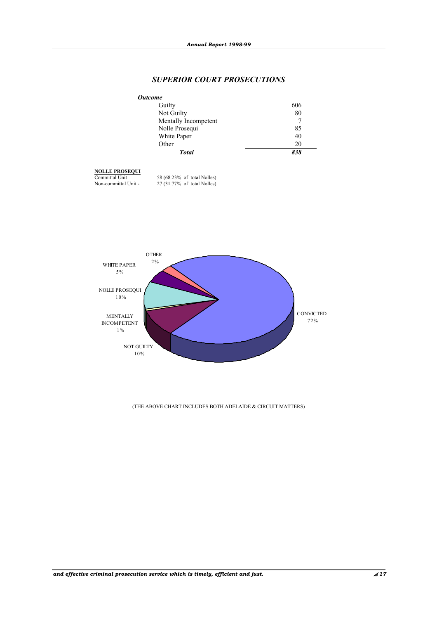### *SUPERIOR COURT PROSECUTIONS*

| <b>Outcome</b>       |     |
|----------------------|-----|
| Guilty               | 606 |
| Not Guilty           | 80  |
| Mentally Incompetent | 7   |
| Nolle Prosequi       | 85  |
| White Paper          | 40  |
| Other                | 20  |
| <b>Total</b>         | 838 |

# **NOLLE PROSEQUI**

 Committal Unit 58 (68.23% of total Nolles) Non-committal Unit - 27 (31.77% of total Nolles)



#### (THE ABOVE CHART INCLUDES BOTH ADELAIDE & CIRCUIT MATTERS)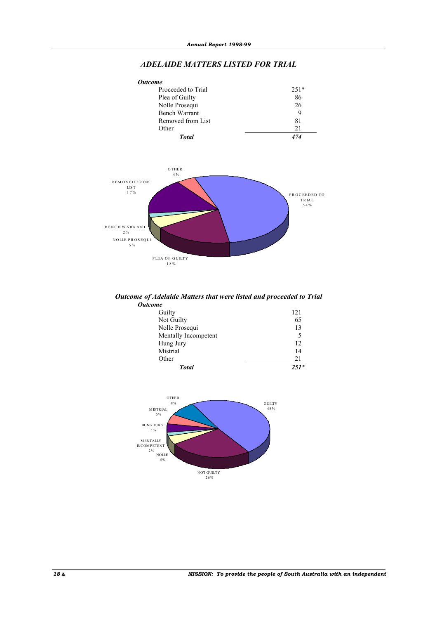#### *ADELAIDE MATTERS LISTED FOR TRIAL*





#### *Outcome of Adelaide Matters that were listed and proceeded to Trial Outcome*

| Guilty               | 121    |
|----------------------|--------|
| Not Guilty           | 65     |
| Nolle Prosequi       | 13     |
| Mentally Incompetent |        |
| Hung Jury            | 12     |
| Mistrial             | 14     |
| Other                | 21     |
| <b>Total</b>         | $251*$ |

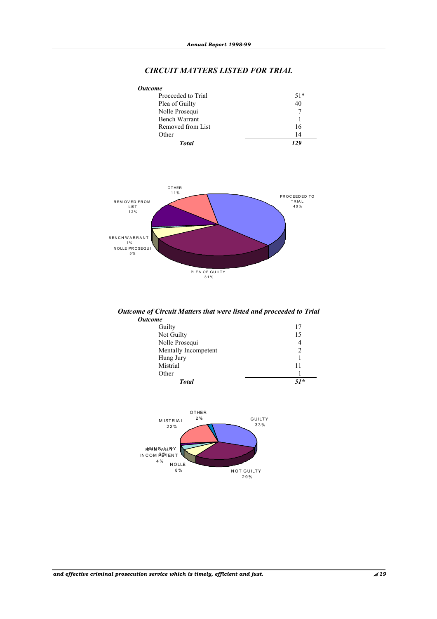# *CIRCUIT MATTERS LISTED FOR TRIAL*

| <b>Outcome</b>     |               |
|--------------------|---------------|
| Proceeded to Trial | $51*$         |
| Plea of Guilty     | 40            |
| Nolle Prosequi     | $\mathcal{I}$ |
| Bench Warrant      |               |
| Removed from List  | 16            |
| Other              | 14            |
| <b>Total</b>       | 129           |



#### *Outcome of Circuit Matters that were listed and proceeded to Trial Outcome*

| <b>Total</b>         | $51*$ |
|----------------------|-------|
| Other                |       |
| Mistrial             | 11    |
| Hung Jury            |       |
| Mentally Incompetent |       |
| Nolle Prosequi       | 4     |
| Not Guilty           | 15    |
| Guilty               |       |
|                      |       |

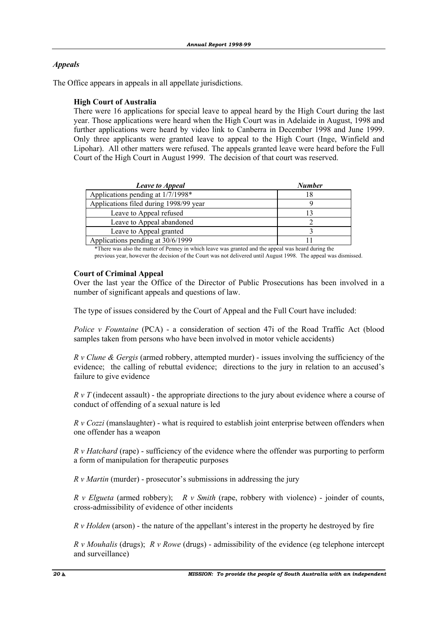# *Appeals*

The Office appears in appeals in all appellate jurisdictions.

#### **High Court of Australia**

 There were 16 applications for special leave to appeal heard by the High Court during the last year. Those applications were heard when the High Court was in Adelaide in August, 1998 and further applications were heard by video link to Canberra in December 1998 and June 1999. Only three applicants were granted leave to appeal to the High Court (Inge, Winfield and Lipohar). All other matters were refused. The appeals granted leave were heard before the Full Court of the High Court in August 1999. The decision of that court was reserved.

| <b>Leave to Appeal</b>                 | <b>Number</b> |
|----------------------------------------|---------------|
| Applications pending at 1/7/1998*      |               |
| Applications filed during 1998/99 year |               |
| Leave to Appeal refused                |               |
| Leave to Appeal abandoned              |               |
| Leave to Appeal granted                |               |
| Applications pending at 30/6/1999      |               |

\*There was also the matter of Penney in which leave was granted and the appeal was heard during the previous year, however the decision of the Court was not delivered until August 1998. The appeal was dismissed.

#### **Court of Criminal Appeal**

 Over the last year the Office of the Director of Public Prosecutions has been involved in a number of significant appeals and questions of law.

The type of issues considered by the Court of Appeal and the Full Court have included:

*Police v Fountaine* (PCA) - a consideration of section 47i of the Road Traffic Act (blood samples taken from persons who have been involved in motor vehicle accidents)

*R v Clune & Gergis* (armed robbery, attempted murder) - issues involving the sufficiency of the evidence; the calling of rebuttal evidence; directions to the jury in relation to an accused's failure to give evidence

*R v T* (indecent assault) - the appropriate directions to the jury about evidence where a course of conduct of offending of a sexual nature is led

*R v Cozzi* (manslaughter) - what is required to establish joint enterprise between offenders when one offender has a weapon

*R v Hatchard* (rape) - sufficiency of the evidence where the offender was purporting to perform a form of manipulation for therapeutic purposes

*R v Martin* (murder) - prosecutor's submissions in addressing the jury

*R v Elgueta* (armed robbery); *R v Smith* (rape, robbery with violence) - joinder of counts, cross-admissibility of evidence of other incidents

*R v Holden* (arson) - the nature of the appellant's interest in the property he destroyed by fire

*R v Mouhalis* (drugs); *R v Rowe* (drugs) - admissibility of the evidence (eg telephone intercept and surveillance)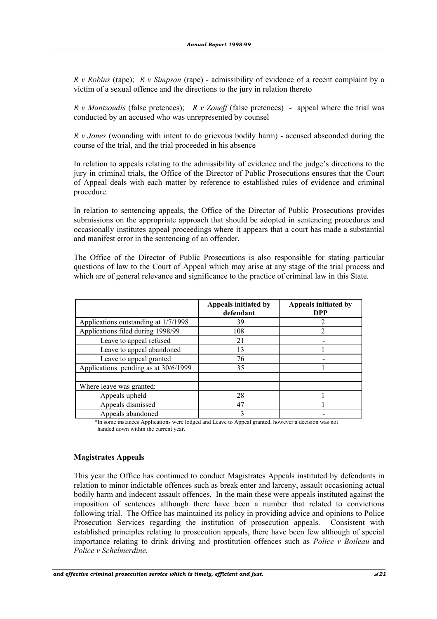*R v Robins* (rape); *R v Simpson* (rape) - admissibility of evidence of a recent complaint by a victim of a sexual offence and the directions to the jury in relation thereto

*R v Mantzoudis* (false pretences); *R v Zoneff* (false pretences) - appeal where the trial was conducted by an accused who was unrepresented by counsel

*R v Jones* (wounding with intent to do grievous bodily harm) - accused absconded during the course of the trial, and the trial proceeded in his absence

 In relation to appeals relating to the admissibility of evidence and the judge's directions to the jury in criminal trials, the Office of the Director of Public Prosecutions ensures that the Court of Appeal deals with each matter by reference to established rules of evidence and criminal procedure.

 In relation to sentencing appeals, the Office of the Director of Public Prosecutions provides submissions on the appropriate approach that should be adopted in sentencing procedures and occasionally institutes appeal proceedings where it appears that a court has made a substantial and manifest error in the sentencing of an offender.

 The Office of the Director of Public Prosecutions is also responsible for stating particular questions of law to the Court of Appeal which may arise at any stage of the trial process and which are of general relevance and significance to the practice of criminal law in this State.

|                                      | Appeals initiated by<br>defendant | Appeals initiated by<br><b>DPP</b> |
|--------------------------------------|-----------------------------------|------------------------------------|
| Applications outstanding at 1/7/1998 | 39                                |                                    |
| Applications filed during 1998/99    | 108                               |                                    |
| Leave to appeal refused              | 21                                |                                    |
| Leave to appeal abandoned            | 13                                |                                    |
| Leave to appeal granted              | 76                                |                                    |
| Applications pending as at 30/6/1999 | 35                                |                                    |
|                                      |                                   |                                    |
| Where leave was granted:             |                                   |                                    |
| Appeals upheld                       | 28                                |                                    |
| Appeals dismissed                    | 47                                |                                    |
| Appeals abandoned                    | 3                                 |                                    |

 \*In some instances Applications were lodged and Leave to Appeal granted, however a decision was not handed down within the current year.

#### **Magistrates Appeals**

 This year the Office has continued to conduct Magistrates Appeals instituted by defendants in relation to minor indictable offences such as break enter and larceny, assault occasioning actual bodily harm and indecent assault offences. In the main these were appeals instituted against the imposition of sentences although there have been a number that related to convictions following trial. The Office has maintained its policy in providing advice and opinions to Police Prosecution Services regarding the institution of prosecution appeals. Consistent with established principles relating to prosecution appeals, there have been few although of special importance relating to drink driving and prostitution offences such as *Police v Boileau* and *Police v Schelmerdine.*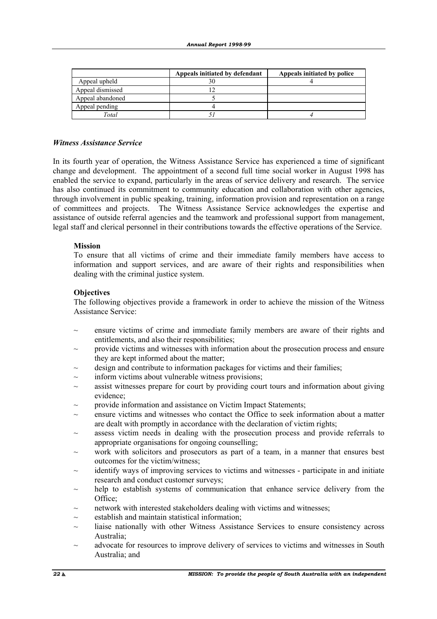|                  | Appeals initiated by defendant | Appeals initiated by police |
|------------------|--------------------------------|-----------------------------|
| Appeal upheld    |                                |                             |
| Appeal dismissed |                                |                             |
| Appeal abandoned |                                |                             |
| Appeal pending   |                                |                             |
| Total            |                                |                             |

#### *Witness Assistance Service*

In its fourth year of operation, the Witness Assistance Service has experienced a time of significant change and development. The appointment of a second full time social worker in August 1998 has enabled the service to expand, particularly in the areas of service delivery and research. The service has also continued its commitment to community education and collaboration with other agencies, through involvement in public speaking, training, information provision and representation on a range of committees and projects. The Witness Assistance Service acknowledges the expertise and assistance of outside referral agencies and the teamwork and professional support from management, legal staff and clerical personnel in their contributions towards the effective operations of the Service.

#### **Mission**

 To ensure that all victims of crime and their immediate family members have access to information and support services, and are aware of their rights and responsibilities when dealing with the criminal justice system.

#### **Objectives**

 The following objectives provide a framework in order to achieve the mission of the Witness Assistance Service:

- ensure victims of crime and immediate family members are aware of their rights and entitlements, and also their responsibilities;
- $\sim$  provide victims and witnesses with information about the prosecution process and ensure they are kept informed about the matter;
- design and contribute to information packages for victims and their families;
- inform victims about vulnerable witness provisions;
- assist witnesses prepare for court by providing court tours and information about giving evidence;
- provide information and assistance on Victim Impact Statements;
- ~ ensure victims and witnesses who contact the Office to seek information about a matter are dealt with promptly in accordance with the declaration of victim rights;
- assess victim needs in dealing with the prosecution process and provide referrals to appropriate organisations for ongoing counselling;
- work with solicitors and prosecutors as part of a team, in a manner that ensures best outcomes for the victim/witness;
- identify ways of improving services to victims and witnesses participate in and initiate research and conduct customer surveys;
- help to establish systems of communication that enhance service delivery from the Office:
- network with interested stakeholders dealing with victims and witnesses;
- establish and maintain statistical information;
- $\sim$  liaise nationally with other Witness Assistance Services to ensure consistency across Australia;
- $\sim$  advocate for resources to improve delivery of services to victims and witnesses in South Australia; and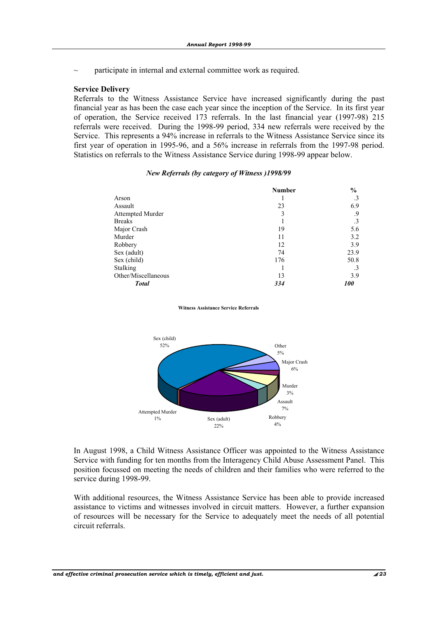$\sim$  participate in internal and external committee work as required.

#### **Service Delivery**

 Referrals to the Witness Assistance Service have increased significantly during the past financial year as has been the case each year since the inception of the Service. In its first year of operation, the Service received 173 referrals. In the last financial year (1997-98) 215 referrals were received. During the 1998-99 period, 334 new referrals were received by the Service. This represents a 94% increase in referrals to the Witness Assistance Service since its first year of operation in 1995-96, and a 56% increase in referrals from the 1997-98 period. Statistics on referrals to the Witness Assistance Service during 1998-99 appear below.

#### *New Referrals (by category of Witness )1998/99*

|                     | <b>Number</b> | $\frac{6}{6}$ |
|---------------------|---------------|---------------|
| Arson               |               | .3            |
| Assault             | 23            | 6.9           |
| Attempted Murder    | 3             | .9            |
| <b>Breaks</b>       |               | .3            |
| Major Crash         | 19            | 5.6           |
| Murder              | 11            | 3.2           |
| Robbery             | 12            | 3.9           |
| Sex (adult)         | 74            | 23.9          |
| Sex (child)         | 176           | 50.8          |
| Stalking            |               | .3            |
| Other/Miscellaneous | 13            | 3.9           |
| <b>Total</b>        | 334           | <i>100</i>    |

#### **Witness Assistance Service Referrals**



 In August 1998, a Child Witness Assistance Officer was appointed to the Witness Assistance Service with funding for ten months from the Interagency Child Abuse Assessment Panel. This position focussed on meeting the needs of children and their families who were referred to the service during 1998-99.

 With additional resources, the Witness Assistance Service has been able to provide increased assistance to victims and witnesses involved in circuit matters. However, a further expansion of resources will be necessary for the Service to adequately meet the needs of all potential circuit referrals.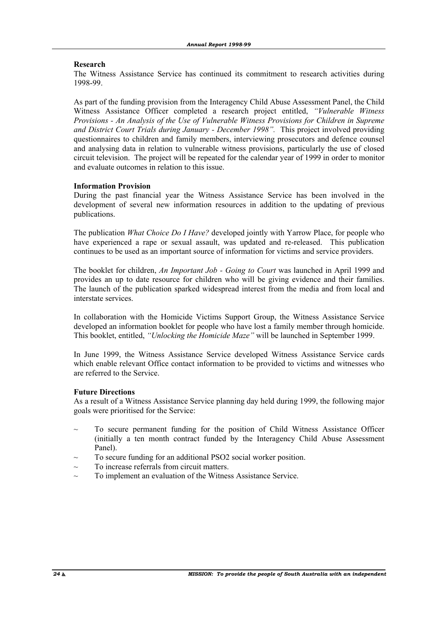#### **Research**

 The Witness Assistance Service has continued its commitment to research activities during 1998-99.

 As part of the funding provision from the Interagency Child Abuse Assessment Panel, the Child Witness Assistance Officer completed a research project entitled, *"Vulnerable Witness Provisions - An Analysis of the Use of Vulnerable Witness Provisions for Children in Supreme and District Court Trials during January - December 1998".* This project involved providing questionnaires to children and family members, interviewing prosecutors and defence counsel and analysing data in relation to vulnerable witness provisions, particularly the use of closed circuit television. The project will be repeated for the calendar year of 1999 in order to monitor and evaluate outcomes in relation to this issue.

#### **Information Provision**

 During the past financial year the Witness Assistance Service has been involved in the development of several new information resources in addition to the updating of previous publications.

 The publication *What Choice Do I Have?* developed jointly with Yarrow Place, for people who have experienced a rape or sexual assault, was updated and re-released. This publication continues to be used as an important source of information for victims and service providers.

 The booklet for children, *An Important Job - Going to Court* was launched in April 1999 and provides an up to date resource for children who will be giving evidence and their families. The launch of the publication sparked widespread interest from the media and from local and interstate services.

 In collaboration with the Homicide Victims Support Group, the Witness Assistance Service developed an information booklet for people who have lost a family member through homicide. This booklet, entitled, *"Unlocking the Homicide Maze"* will be launched in September 1999.

 In June 1999, the Witness Assistance Service developed Witness Assistance Service cards which enable relevant Office contact information to be provided to victims and witnesses who are referred to the Service.

#### **Future Directions**

 As a result of a Witness Assistance Service planning day held during 1999, the following major goals were prioritised for the Service:

- To secure permanent funding for the position of Child Witness Assistance Officer (initially a ten month contract funded by the Interagency Child Abuse Assessment Panel).
- To secure funding for an additional PSO2 social worker position.
- To increase referrals from circuit matters.
- To implement an evaluation of the Witness Assistance Service.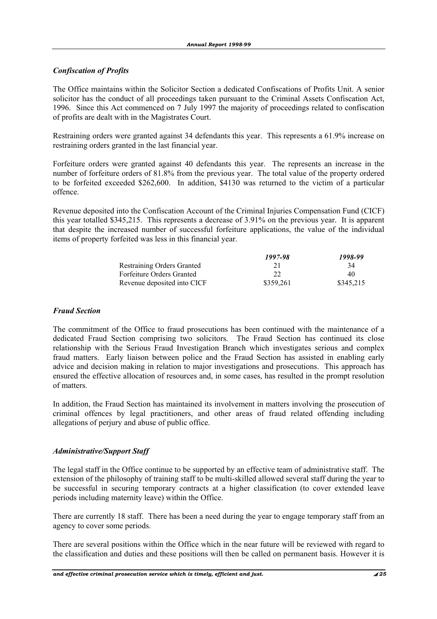# *Confiscation of Profits*

The Office maintains within the Solicitor Section a dedicated Confiscations of Profits Unit. A senior solicitor has the conduct of all proceedings taken pursuant to the Criminal Assets Confiscation Act, 1996. Since this Act commenced on 7 July 1997 the majority of proceedings related to confiscation of profits are dealt with in the Magistrates Court.

Restraining orders were granted against 34 defendants this year. This represents a 61.9% increase on restraining orders granted in the last financial year.

Forfeiture orders were granted against 40 defendants this year. The represents an increase in the number of forfeiture orders of 81.8% from the previous year. The total value of the property ordered to be forfeited exceeded \$262,600. In addition, \$4130 was returned to the victim of a particular offence.

Revenue deposited into the Confiscation Account of the Criminal Injuries Compensation Fund (CICF) this year totalled \$345,215. This represents a decrease of 3.91% on the previous year. It is apparent that despite the increased number of successful forfeiture applications, the value of the individual items of property forfeited was less in this financial year.

|                                   | 1997-98   | 1998-99   |
|-----------------------------------|-----------|-----------|
| <b>Restraining Orders Granted</b> |           | 34        |
| <b>Forfeiture Orders Granted</b>  | 22        | 40        |
| Revenue deposited into CICF       | \$359.261 | \$345.215 |

### *Fraud Section*

The commitment of the Office to fraud prosecutions has been continued with the maintenance of a dedicated Fraud Section comprising two solicitors. The Fraud Section has continued its close relationship with the Serious Fraud Investigation Branch which investigates serious and complex fraud matters. Early liaison between police and the Fraud Section has assisted in enabling early advice and decision making in relation to major investigations and prosecutions. This approach has ensured the effective allocation of resources and, in some cases, has resulted in the prompt resolution of matters.

In addition, the Fraud Section has maintained its involvement in matters involving the prosecution of criminal offences by legal practitioners, and other areas of fraud related offending including allegations of perjury and abuse of public office.

### *Administrative/Support Staff*

The legal staff in the Office continue to be supported by an effective team of administrative staff. The extension of the philosophy of training staff to be multi-skilled allowed several staff during the year to be successful in securing temporary contracts at a higher classification (to cover extended leave periods including maternity leave) within the Office.

There are currently 18 staff. There has been a need during the year to engage temporary staff from an agency to cover some periods.

There are several positions within the Office which in the near future will be reviewed with regard to the classification and duties and these positions will then be called on permanent basis. However it is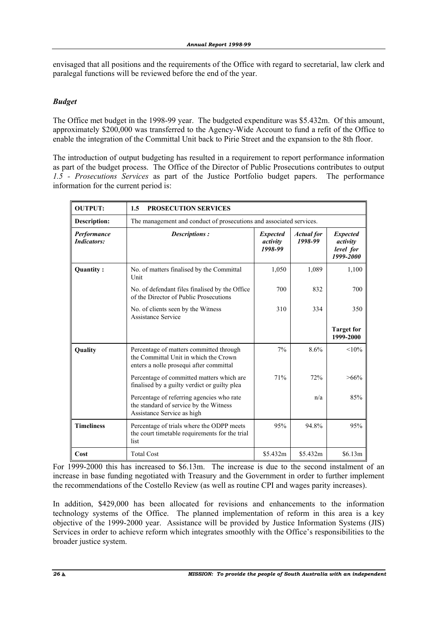envisaged that all positions and the requirements of the Office with regard to secretarial, law clerk and paralegal functions will be reviewed before the end of the year.

### *Budget*

The Office met budget in the 1998-99 year. The budgeted expenditure was \$5.432m. Of this amount, approximately \$200,000 was transferred to the Agency-Wide Account to fund a refit of the Office to enable the integration of the Committal Unit back to Pirie Street and the expansion to the 8th floor.

The introduction of output budgeting has resulted in a requirement to report performance information as part of the budget process. The Office of the Director of Public Prosecutions contributes to output *1.5 - Prosecutions Services* as part of the Justice Portfolio budget papers. The performance information for the current period is:

| <b>OUTPUT:</b>                    | 1.5<br><b>PROSECUTION SERVICES</b>                                                                                          |                                        |                              |                                                       |  |
|-----------------------------------|-----------------------------------------------------------------------------------------------------------------------------|----------------------------------------|------------------------------|-------------------------------------------------------|--|
| Description:                      | The management and conduct of prosecutions and associated services.                                                         |                                        |                              |                                                       |  |
| Performance<br><b>Indicators:</b> | Descriptions:                                                                                                               | <b>Expected</b><br>activity<br>1998-99 | <b>Actual</b> for<br>1998-99 | <b>Expected</b><br>activity<br>level for<br>1999-2000 |  |
| Quantity:                         | No. of matters finalised by the Committal<br>Unit                                                                           | 1,050                                  | 1,089                        | 1,100                                                 |  |
|                                   | No. of defendant files finalised by the Office<br>of the Director of Public Prosecutions                                    | 700                                    | 832                          | 700                                                   |  |
|                                   | No. of clients seen by the Witness<br>Assistance Service                                                                    | 310                                    | 334                          | 350                                                   |  |
|                                   |                                                                                                                             |                                        |                              | <b>Target for</b><br>1999-2000                        |  |
| Quality                           | Percentage of matters committed through<br>the Committal Unit in which the Crown<br>enters a nolle prosequi after committal | 7%                                     | 8.6%                         | $< 10\%$                                              |  |
|                                   | Percentage of committed matters which are<br>finalised by a guilty verdict or guilty plea                                   | 71%                                    | 72%                          | $>66\%$                                               |  |
|                                   | Percentage of referring agencies who rate<br>the standard of service by the Witness<br>Assistance Service as high           |                                        | n/a                          | 85%                                                   |  |
| <b>Timeliness</b>                 | Percentage of trials where the ODPP meets<br>the court timetable requirements for the trial<br>list                         | 95%                                    | 94.8%                        | 95%                                                   |  |
| Cost                              | <b>Total Cost</b>                                                                                                           | \$5.432m                               | \$5.432m                     | \$6.13m\$                                             |  |

For 1999-2000 this has increased to \$6.13m. The increase is due to the second instalment of an increase in base funding negotiated with Treasury and the Government in order to further implement the recommendations of the Costello Review (as well as routine CPI and wages parity increases).

In addition, \$429,000 has been allocated for revisions and enhancements to the information technology systems of the Office. The planned implementation of reform in this area is a key objective of the 1999-2000 year. Assistance will be provided by Justice Information Systems (JIS) Services in order to achieve reform which integrates smoothly with the Office's responsibilities to the broader justice system.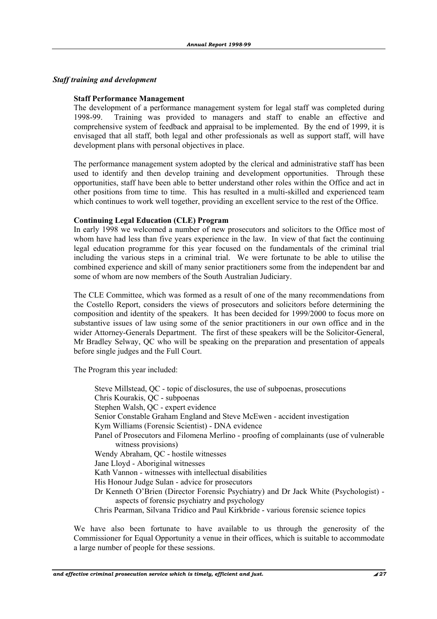#### *Staff training and development*

#### **Staff Performance Management**

 The development of a performance management system for legal staff was completed during 1998-99. Training was provided to managers and staff to enable an effective and comprehensive system of feedback and appraisal to be implemented. By the end of 1999, it is envisaged that all staff, both legal and other professionals as well as support staff, will have development plans with personal objectives in place.

 The performance management system adopted by the clerical and administrative staff has been used to identify and then develop training and development opportunities. Through these opportunities, staff have been able to better understand other roles within the Office and act in other positions from time to time. This has resulted in a multi-skilled and experienced team which continues to work well together, providing an excellent service to the rest of the Office.

#### **Continuing Legal Education (CLE) Program**

 In early 1998 we welcomed a number of new prosecutors and solicitors to the Office most of whom have had less than five years experience in the law. In view of that fact the continuing legal education programme for this year focused on the fundamentals of the criminal trial including the various steps in a criminal trial. We were fortunate to be able to utilise the combined experience and skill of many senior practitioners some from the independent bar and some of whom are now members of the South Australian Judiciary.

 The CLE Committee, which was formed as a result of one of the many recommendations from the Costello Report, considers the views of prosecutors and solicitors before determining the composition and identity of the speakers. It has been decided for 1999/2000 to focus more on substantive issues of law using some of the senior practitioners in our own office and in the wider Attorney-Generals Department. The first of these speakers will be the Solicitor-General, Mr Bradley Selway, QC who will be speaking on the preparation and presentation of appeals before single judges and the Full Court.

The Program this year included:

 Steve Millstead, QC - topic of disclosures, the use of subpoenas, prosecutions Chris Kourakis, QC - subpoenas Stephen Walsh, QC - expert evidence Senior Constable Graham England and Steve McEwen - accident investigation Kym Williams (Forensic Scientist) - DNA evidence Panel of Prosecutors and Filomena Merlino - proofing of complainants (use of vulnerable witness provisions) Wendy Abraham, QC - hostile witnesses Jane Lloyd - Aboriginal witnesses Kath Vannon - witnesses with intellectual disabilities His Honour Judge Sulan - advice for prosecutors Dr Kenneth O'Brien (Director Forensic Psychiatry) and Dr Jack White (Psychologist) aspects of forensic psychiatry and psychology Chris Pearman, Silvana Tridico and Paul Kirkbride - various forensic science topics

 We have also been fortunate to have available to us through the generosity of the Commissioner for Equal Opportunity a venue in their offices, which is suitable to accommodate a large number of people for these sessions.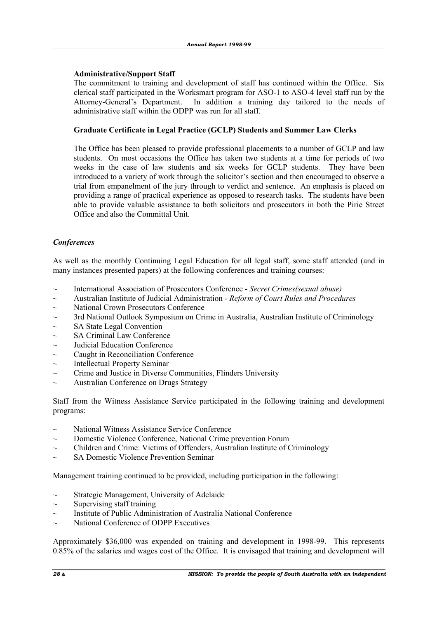#### **Administrative/Support Staff**

 The commitment to training and development of staff has continued within the Office. Six clerical staff participated in the Worksmart program for ASO-1 to ASO-4 level staff run by the Attorney-General's Department. In addition a training day tailored to the needs of administrative staff within the ODPP was run for all staff.

#### **Graduate Certificate in Legal Practice (GCLP) Students and Summer Law Clerks**

 The Office has been pleased to provide professional placements to a number of GCLP and law students. On most occasions the Office has taken two students at a time for periods of two weeks in the case of law students and six weeks for GCLP students. They have been introduced to a variety of work through the solicitor's section and then encouraged to observe a trial from empanelment of the jury through to verdict and sentence. An emphasis is placed on providing a range of practical experience as opposed to research tasks. The students have been able to provide valuable assistance to both solicitors and prosecutors in both the Pirie Street Office and also the Committal Unit.

### *Conferences*

As well as the monthly Continuing Legal Education for all legal staff, some staff attended (and in many instances presented papers) at the following conferences and training courses:

- ~ International Association of Prosecutors Conference *Secret Crimes(sexual abuse)*
- ~ Australian Institute of Judicial Administration *Reform of Court Rules and Procedures*
- $\sim$  National Crown Prosecutors Conference
- $\sim$  3rd National Outlook Symposium on Crime in Australia, Australian Institute of Criminology
- $\sim$  SA State Legal Convention
- $\sim$  SA Criminal Law Conference
- $\sim$  Judicial Education Conference
- Caught in Reconciliation Conference
- $\sim$  Intellectual Property Seminar
- $\sim$  Crime and Justice in Diverse Communities, Flinders University
- $\sim$  Australian Conference on Drugs Strategy

Staff from the Witness Assistance Service participated in the following training and development programs:

- ~ National Witness Assistance Service Conference
- ~ Domestic Violence Conference, National Crime prevention Forum
- $\sim$  Children and Crime: Victims of Offenders, Australian Institute of Criminology
- $\sim$  SA Domestic Violence Prevention Seminar

Management training continued to be provided, including participation in the following:

- $\sim$  Strategic Management, University of Adelaide
- $\sim$  Supervising staff training
- $\sim$  Institute of Public Administration of Australia National Conference
- $\sim$  National Conference of ODPP Executives

Approximately \$36,000 was expended on training and development in 1998-99. This represents 0.85% of the salaries and wages cost of the Office. It is envisaged that training and development will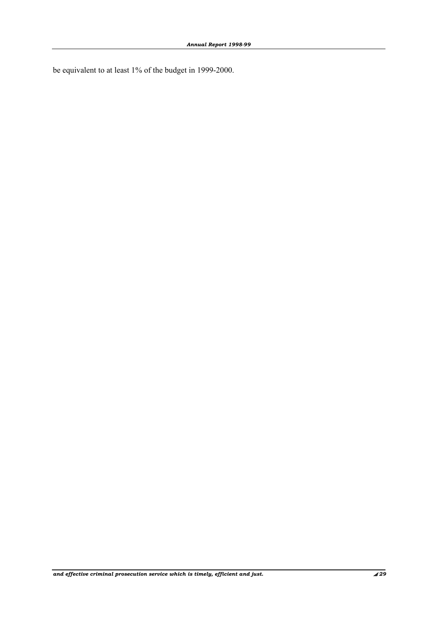be equivalent to at least 1% of the budget in 1999-2000.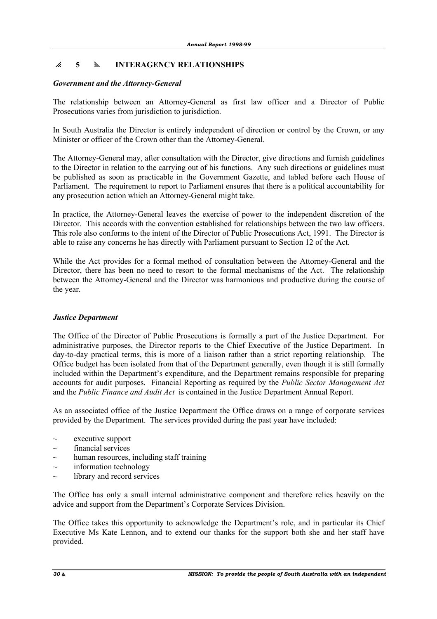# p **5** y **INTERAGENCY RELATIONSHIPS**

#### *Government and the Attorney-General*

The relationship between an Attorney-General as first law officer and a Director of Public Prosecutions varies from jurisdiction to jurisdiction.

In South Australia the Director is entirely independent of direction or control by the Crown, or any Minister or officer of the Crown other than the Attorney-General.

The Attorney-General may, after consultation with the Director, give directions and furnish guidelines to the Director in relation to the carrying out of his functions. Any such directions or guidelines must be published as soon as practicable in the Government Gazette, and tabled before each House of Parliament. The requirement to report to Parliament ensures that there is a political accountability for any prosecution action which an Attorney-General might take.

In practice, the Attorney-General leaves the exercise of power to the independent discretion of the Director. This accords with the convention established for relationships between the two law officers. This role also conforms to the intent of the Director of Public Prosecutions Act, 1991. The Director is able to raise any concerns he has directly with Parliament pursuant to Section 12 of the Act.

While the Act provides for a formal method of consultation between the Attorney-General and the Director, there has been no need to resort to the formal mechanisms of the Act. The relationship between the Attorney-General and the Director was harmonious and productive during the course of the year.

#### *Justice Department*

The Office of the Director of Public Prosecutions is formally a part of the Justice Department. For administrative purposes, the Director reports to the Chief Executive of the Justice Department. In day-to-day practical terms, this is more of a liaison rather than a strict reporting relationship. The Office budget has been isolated from that of the Department generally, even though it is still formally included within the Department's expenditure, and the Department remains responsible for preparing accounts for audit purposes. Financial Reporting as required by the *Public Sector Management Act*  and the *Public Finance and Audit Act* is contained in the Justice Department Annual Report.

As an associated office of the Justice Department the Office draws on a range of corporate services provided by the Department. The services provided during the past year have included:

- $\sim$  executive support
- $\sim$  financial services
- human resources, including staff training
- $\sim$  information technology
- library and record services

The Office has only a small internal administrative component and therefore relies heavily on the advice and support from the Department's Corporate Services Division.

The Office takes this opportunity to acknowledge the Department's role, and in particular its Chief Executive Ms Kate Lennon, and to extend our thanks for the support both she and her staff have provided.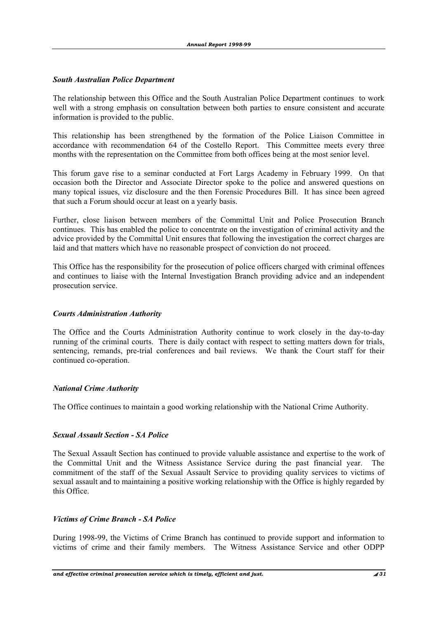#### *South Australian Police Department*

The relationship between this Office and the South Australian Police Department continues to work well with a strong emphasis on consultation between both parties to ensure consistent and accurate information is provided to the public.

This relationship has been strengthened by the formation of the Police Liaison Committee in accordance with recommendation 64 of the Costello Report. This Committee meets every three months with the representation on the Committee from both offices being at the most senior level.

This forum gave rise to a seminar conducted at Fort Largs Academy in February 1999. On that occasion both the Director and Associate Director spoke to the police and answered questions on many topical issues, viz disclosure and the then Forensic Procedures Bill. It has since been agreed that such a Forum should occur at least on a yearly basis.

Further, close liaison between members of the Committal Unit and Police Prosecution Branch continues. This has enabled the police to concentrate on the investigation of criminal activity and the advice provided by the Committal Unit ensures that following the investigation the correct charges are laid and that matters which have no reasonable prospect of conviction do not proceed.

This Office has the responsibility for the prosecution of police officers charged with criminal offences and continues to liaise with the Internal Investigation Branch providing advice and an independent prosecution service.

#### *Courts Administration Authority*

The Office and the Courts Administration Authority continue to work closely in the day-to-day running of the criminal courts. There is daily contact with respect to setting matters down for trials, sentencing, remands, pre-trial conferences and bail reviews. We thank the Court staff for their continued co-operation.

#### *National Crime Authority*

The Office continues to maintain a good working relationship with the National Crime Authority.

#### *Sexual Assault Section - SA Police*

The Sexual Assault Section has continued to provide valuable assistance and expertise to the work of the Committal Unit and the Witness Assistance Service during the past financial year. The commitment of the staff of the Sexual Assault Service to providing quality services to victims of sexual assault and to maintaining a positive working relationship with the Office is highly regarded by this Office.

#### *Victims of Crime Branch - SA Police*

During 1998-99, the Victims of Crime Branch has continued to provide support and information to victims of crime and their family members. The Witness Assistance Service and other ODPP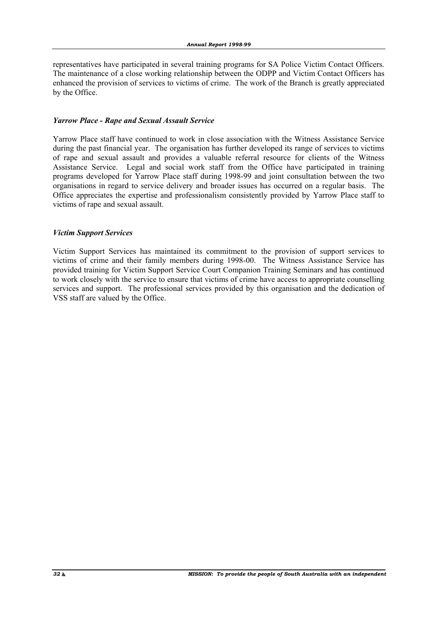representatives have participated in several training programs for SA Police Victim Contact Officers. The maintenance of a close working relationship between the ODPP and Victim Contact Officers has enhanced the provision of services to victims of crime. The work of the Branch is greatly appreciated by the Office.

#### *Yarrow Place - Rape and Sexual Assault Service*

Yarrow Place staff have continued to work in close association with the Witness Assistance Service during the past financial year. The organisation has further developed its range of services to victims of rape and sexual assault and provides a valuable referral resource for clients of the Witness Assistance Service. Legal and social work staff from the Office have participated in training programs developed for Yarrow Place staff during 1998-99 and joint consultation between the two organisations in regard to service delivery and broader issues has occurred on a regular basis. The Office appreciates the expertise and professionalism consistently provided by Yarrow Place staff to victims of rape and sexual assault.

### *Victim Support Services*

Victim Support Services has maintained its commitment to the provision of support services to victims of crime and their family members during 1998-00. The Witness Assistance Service has provided training for Victim Support Service Court Companion Training Seminars and has continued to work closely with the service to ensure that victims of crime have access to appropriate counselling services and support. The professional services provided by this organisation and the dedication of VSS staff are valued by the Office.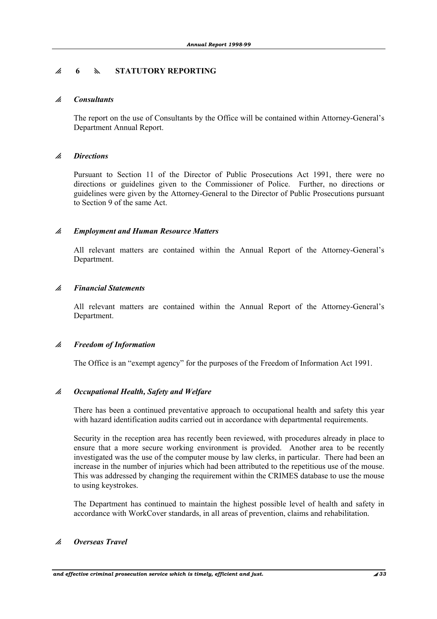# p **6** y **STATUTORY REPORTING**

#### p *Consultants*

 The report on the use of Consultants by the Office will be contained within Attorney-General's Department Annual Report.

#### p *Directions*

 Pursuant to Section 11 of the Director of Public Prosecutions Act 1991, there were no directions or guidelines given to the Commissioner of Police. Further, no directions or guidelines were given by the Attorney-General to the Director of Public Prosecutions pursuant to Section 9 of the same Act.

#### p *Employment and Human Resource Matters*

 All relevant matters are contained within the Annual Report of the Attorney-General's Department.

#### p *Financial Statements*

 All relevant matters are contained within the Annual Report of the Attorney-General's Department.

#### p *Freedom of Information*

The Office is an "exempt agency" for the purposes of the Freedom of Information Act 1991.

#### p *Occupational Health, Safety and Welfare*

 There has been a continued preventative approach to occupational health and safety this year with hazard identification audits carried out in accordance with departmental requirements.

 Security in the reception area has recently been reviewed, with procedures already in place to ensure that a more secure working environment is provided. Another area to be recently investigated was the use of the computer mouse by law clerks, in particular. There had been an increase in the number of injuries which had been attributed to the repetitious use of the mouse. This was addressed by changing the requirement within the CRIMES database to use the mouse to using keystrokes.

 The Department has continued to maintain the highest possible level of health and safety in accordance with WorkCover standards, in all areas of prevention, claims and rehabilitation.

#### p *Overseas Travel*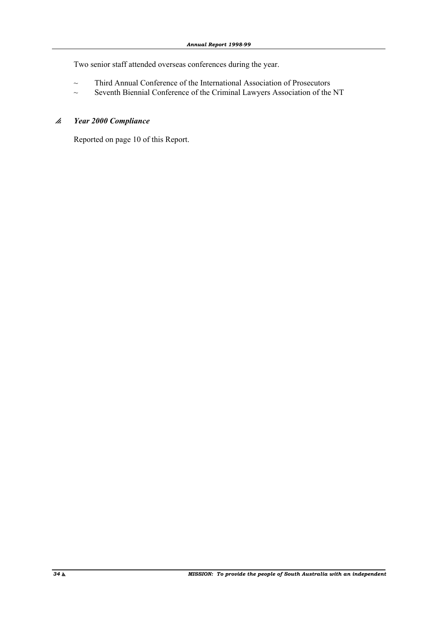Two senior staff attended overseas conferences during the year.

- ~ Third Annual Conference of the International Association of Prosecutors
- ~ Seventh Biennial Conference of the Criminal Lawyers Association of the NT

#### p *Year 2000 Compliance*

Reported on page 10 of this Report.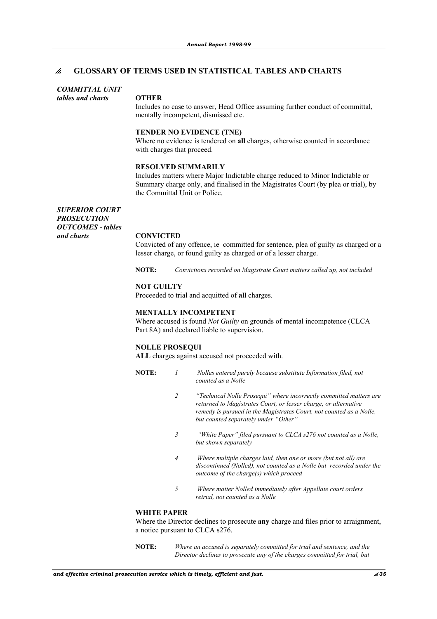#### p **GLOSSARY OF TERMS USED IN STATISTICAL TABLES AND CHARTS**

#### *COMMITTAL UNIT*

*tables and charts* **OTHER**

Includes no case to answer, Head Office assuming further conduct of committal, mentally incompetent, dismissed etc.

#### **TENDER NO EVIDENCE (TNE)**

Where no evidence is tendered on **all** charges, otherwise counted in accordance with charges that proceed.

#### **RESOLVED SUMMARILY**

Includes matters where Major Indictable charge reduced to Minor Indictable or Summary charge only, and finalised in the Magistrates Court (by plea or trial), by the Committal Unit or Police.

*SUPERIOR COURT PROSECUTION OUTCOMES - tables and charts* **CONVICTED** 

Convicted of any offence, ie committed for sentence, plea of guilty as charged or a lesser charge, or found guilty as charged or of a lesser charge.

**NOTE:** *Convictions recorded on Magistrate Court matters called up, not included* 

#### **NOT GUILTY**

Proceeded to trial and acquitted of **all** charges.

#### **MENTALLY INCOMPETENT**

Where accused is found *Not Guilty* on grounds of mental incompetence (CLCA Part 8A) and declared liable to supervision.

#### **NOLLE PROSEQUI**

**ALL** charges against accused not proceeded with.

- **NOTE:** *1 Nolles entered purely because substitute Information filed, not counted as a Nolle* 
	- *2 "Technical Nolle Prosequi" where incorrectly committed matters are returned to Magistrates Court, or lesser charge, or alternative remedy is pursued in the Magistrates Court, not counted as a Nolle, but counted separately under "Other"*
	- *3 "White Paper" filed pursuant to CLCA s276 not counted as a Nolle, but shown separately*
	- *4 Where multiple charges laid, then one or more (but not all) are discontinued (Nolled), not counted as a Nolle but recorded under the outcome of the charge(s) which proceed*
	- *5 Where matter Nolled immediately after Appellate court orders retrial, not counted as a Nolle*

#### **WHITE PAPER**

Where the Director declines to prosecute **any** charge and files prior to arraignment, a notice pursuant to CLCA s276.

**NOTE:** *Where an accused is separately committed for trial and sentence, and the Director declines to prosecute any of the charges committed for trial, but*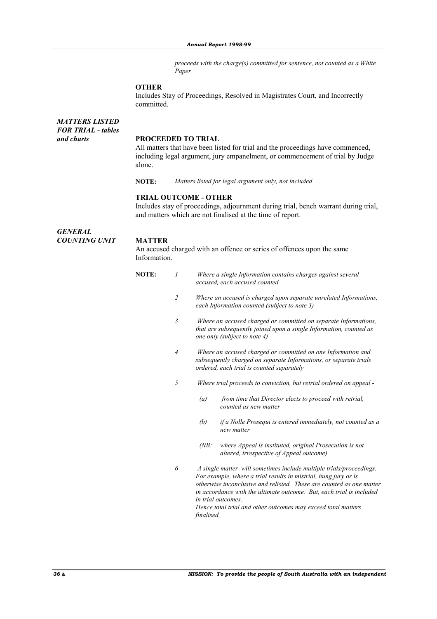*proceeds with the charge(s) committed for sentence, not counted as a White Paper* 

#### **OTHER**

Includes Stay of Proceedings, Resolved in Magistrates Court, and Incorrectly committed.

| <b>MATTERS LISTED</b><br><b>FOR TRIAL - tables</b> |                                                                                                                                                                  |
|----------------------------------------------------|------------------------------------------------------------------------------------------------------------------------------------------------------------------|
| and charts                                         | <b>PROCEEDED TO TRIAL</b>                                                                                                                                        |
|                                                    | All matters that have been listed for trial and the proceedings have commenced.<br>including legal argument, jury empanelment, or commencement of trial by Judge |
|                                                    | alone.                                                                                                                                                           |

**NOTE:** *Matters listed for legal argument only, not included* 

#### **TRIAL OUTCOME - OTHER**

Includes stay of proceedings, adjournment during trial, bench warrant during trial, and matters which are not finalised at the time of report.

*GENERAL COUNTING UNIT* **MATTER**

An accused charged with an offence or series of offences upon the same Information.

| <b>NOTE:</b> | Where a single Information contains charges against several |  |
|--------------|-------------------------------------------------------------|--|
|              | accused, each accused counted                               |  |

- *2 Where an accused is charged upon separate unrelated Informations, each Information counted (subject to note 3)* 
	- *3 Where an accused charged or committed on separate Informations, that are subsequently joined upon a single Information, counted as one only (subject to note 4)*
	- *4 Where an accused charged or committed on one Information and subsequently charged on separate Informations, or separate trials ordered, each trial is counted separately*
	- *5 Where trial proceeds to conviction, but retrial ordered on appeal* 
		- *(a) from time that Director elects to proceed with retrial, counted as new matter*
		- *(b) if a Nolle Prosequi is entered immediately, not counted as a new matter*
		- *(NB: where Appeal is instituted, original Prosecution is not altered, irrespective of Appeal outcome)*
- *6 A single matter will sometimes include multiple trials/proceedings. For example, where a trial results in mistrial, hung jury or is otherwise inconclusive and relisted. These are counted as one matter in accordance with the ultimate outcome. But, each trial is included in trial outcomes. Hence total trial and other outcomes may exceed total matters finalised.*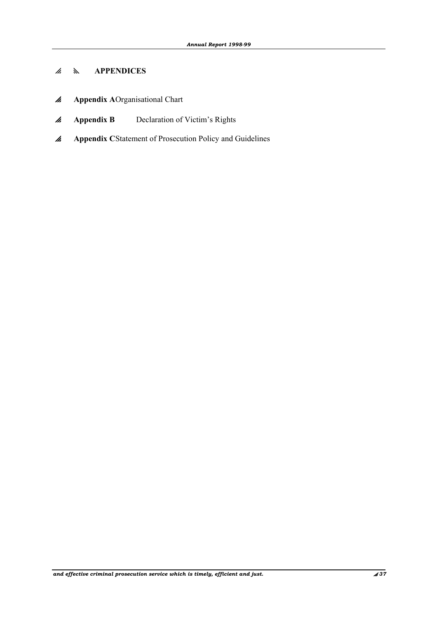# p y **APPENDICES**

- *A* Appendix AOrganisational Chart
- **A** Appendix B Declaration of Victim's Rights
- *A* Appendix CStatement of Prosecution Policy and Guidelines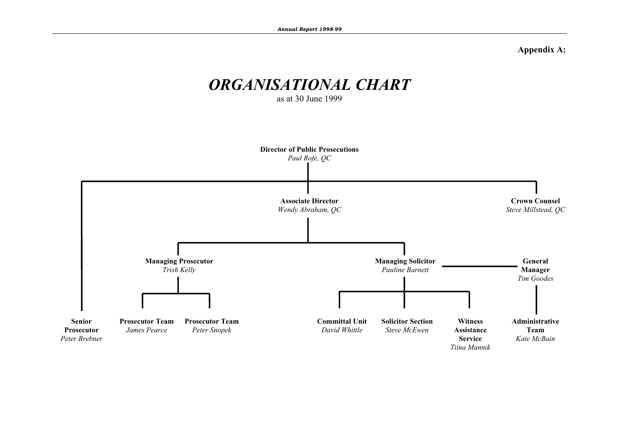**Appendix A:**

# *ORGANISATIONAL CHART*

as at 30 June 1999

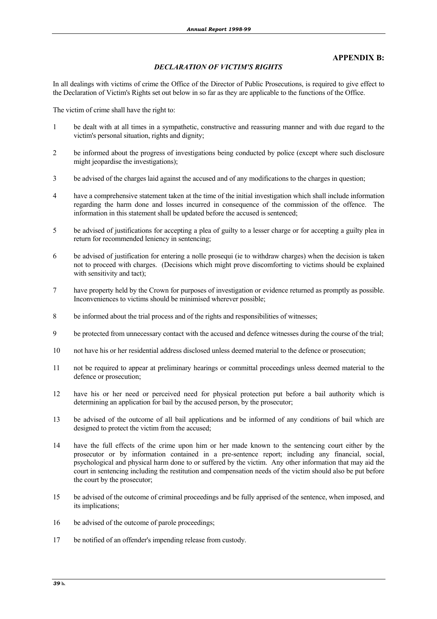#### **APPENDIX B:**

#### *DECLARATION OF VICTIM'S RIGHTS*

In all dealings with victims of crime the Office of the Director of Public Prosecutions, is required to give effect to the Declaration of Victim's Rights set out below in so far as they are applicable to the functions of the Office.

The victim of crime shall have the right to:

- 1 be dealt with at all times in a sympathetic, constructive and reassuring manner and with due regard to the victim's personal situation, rights and dignity;
- 2 be informed about the progress of investigations being conducted by police (except where such disclosure might jeopardise the investigations):
- 3 be advised of the charges laid against the accused and of any modifications to the charges in question;
- 4 have a comprehensive statement taken at the time of the initial investigation which shall include information regarding the harm done and losses incurred in consequence of the commission of the offence. The information in this statement shall be updated before the accused is sentenced;
- 5 be advised of justifications for accepting a plea of guilty to a lesser charge or for accepting a guilty plea in return for recommended leniency in sentencing;
- 6 be advised of justification for entering a nolle prosequi (ie to withdraw charges) when the decision is taken not to proceed with charges. (Decisions which might prove discomforting to victims should be explained with sensitivity and tact):
- 7 have property held by the Crown for purposes of investigation or evidence returned as promptly as possible. Inconveniences to victims should be minimised wherever possible;
- 8 be informed about the trial process and of the rights and responsibilities of witnesses;
- 9 be protected from unnecessary contact with the accused and defence witnesses during the course of the trial;
- 10 not have his or her residential address disclosed unless deemed material to the defence or prosecution;
- 11 not be required to appear at preliminary hearings or committal proceedings unless deemed material to the defence or prosecution;
- 12 have his or her need or perceived need for physical protection put before a bail authority which is determining an application for bail by the accused person, by the prosecutor;
- 13 be advised of the outcome of all bail applications and be informed of any conditions of bail which are designed to protect the victim from the accused;
- 14 have the full effects of the crime upon him or her made known to the sentencing court either by the prosecutor or by information contained in a pre-sentence report; including any financial, social, psychological and physical harm done to or suffered by the victim. Any other information that may aid the court in sentencing including the restitution and compensation needs of the victim should also be put before the court by the prosecutor;
- 15 be advised of the outcome of criminal proceedings and be fully apprised of the sentence, when imposed, and its implications;
- 16 be advised of the outcome of parole proceedings;
- 17 be notified of an offender's impending release from custody.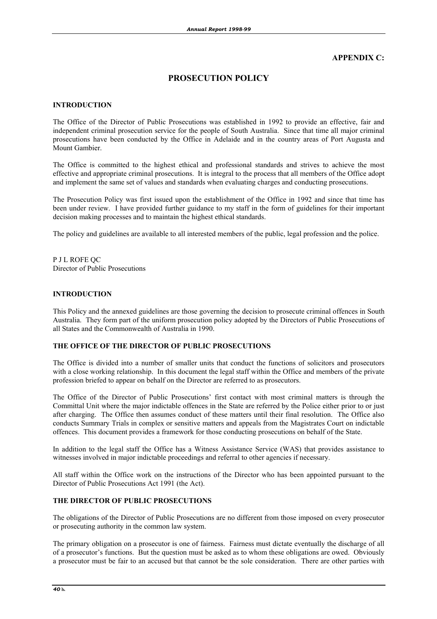#### **APPENDIX C:**

# **PROSECUTION POLICY**

#### **INTRODUCTION**

The Office of the Director of Public Prosecutions was established in 1992 to provide an effective, fair and independent criminal prosecution service for the people of South Australia. Since that time all major criminal prosecutions have been conducted by the Office in Adelaide and in the country areas of Port Augusta and Mount Gambier.

The Office is committed to the highest ethical and professional standards and strives to achieve the most effective and appropriate criminal prosecutions. It is integral to the process that all members of the Office adopt and implement the same set of values and standards when evaluating charges and conducting prosecutions.

The Prosecution Policy was first issued upon the establishment of the Office in 1992 and since that time has been under review. I have provided further guidance to my staff in the form of guidelines for their important decision making processes and to maintain the highest ethical standards.

The policy and guidelines are available to all interested members of the public, legal profession and the police.

P J L ROFE QC Director of Public Prosecutions

#### **INTRODUCTION**

This Policy and the annexed guidelines are those governing the decision to prosecute criminal offences in South Australia. They form part of the uniform prosecution policy adopted by the Directors of Public Prosecutions of all States and the Commonwealth of Australia in 1990.

#### **THE OFFICE OF THE DIRECTOR OF PUBLIC PROSECUTIONS**

The Office is divided into a number of smaller units that conduct the functions of solicitors and prosecutors with a close working relationship. In this document the legal staff within the Office and members of the private profession briefed to appear on behalf on the Director are referred to as prosecutors.

The Office of the Director of Public Prosecutions' first contact with most criminal matters is through the Committal Unit where the major indictable offences in the State are referred by the Police either prior to or just after charging. The Office then assumes conduct of these matters until their final resolution. The Office also conducts Summary Trials in complex or sensitive matters and appeals from the Magistrates Court on indictable offences. This document provides a framework for those conducting prosecutions on behalf of the State.

In addition to the legal staff the Office has a Witness Assistance Service (WAS) that provides assistance to witnesses involved in major indictable proceedings and referral to other agencies if necessary.

All staff within the Office work on the instructions of the Director who has been appointed pursuant to the Director of Public Prosecutions Act 1991 (the Act).

#### **THE DIRECTOR OF PUBLIC PROSECUTIONS**

The obligations of the Director of Public Prosecutions are no different from those imposed on every prosecutor or prosecuting authority in the common law system.

The primary obligation on a prosecutor is one of fairness. Fairness must dictate eventually the discharge of all of a prosecutor's functions. But the question must be asked as to whom these obligations are owed. Obviously a prosecutor must be fair to an accused but that cannot be the sole consideration. There are other parties with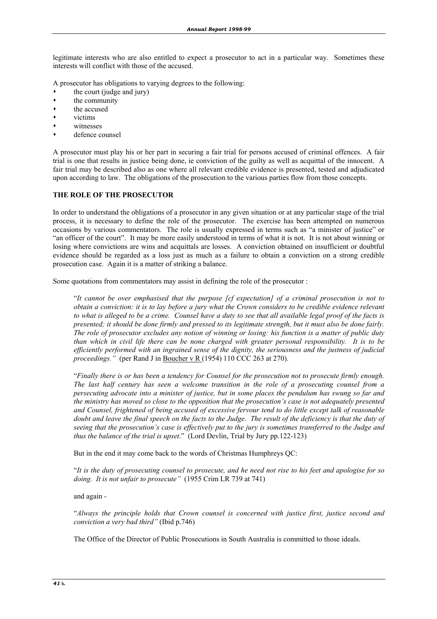legitimate interests who are also entitled to expect a prosecutor to act in a particular way. Sometimes these interests will conflict with those of the accused.

A prosecutor has obligations to varying degrees to the following:

- the court (judge and jury)
- the community
- the accused
- victims
- witnesses
- defence counsel

A prosecutor must play his or her part in securing a fair trial for persons accused of criminal offences. A fair trial is one that results in justice being done, ie conviction of the guilty as well as acquittal of the innocent. A fair trial may be described also as one where all relevant credible evidence is presented, tested and adjudicated upon according to law. The obligations of the prosecution to the various parties flow from those concepts.

#### **THE ROLE OF THE PROSECUTOR**

In order to understand the obligations of a prosecutor in any given situation or at any particular stage of the trial process, it is necessary to define the role of the prosecutor. The exercise has been attempted on numerous occasions by various commentators. The role is usually expressed in terms such as "a minister of justice" or "an officer of the court". It may be more easily understood in terms of what it is not. It is not about winning or losing where convictions are wins and acquittals are losses. A conviction obtained on insufficient or doubtful evidence should be regarded as a loss just as much as a failure to obtain a conviction on a strong credible prosecution case. Again it is a matter of striking a balance.

Some quotations from commentators may assist in defining the role of the prosecutor :

 "*It cannot be over emphasised that the purpose [cf expectation] of a criminal prosecution is not to obtain a conviction: it is to lay before a jury what the Crown considers to be credible evidence relevant to what is alleged to be a crime. Counsel have a duty to see that all available legal proof of the facts is presented; it should be done firmly and pressed to its legitimate strength, but it must also be done fairly. The role of prosecutor excludes any notion of winning or losing: his function is a matter of public duty than which in civil life there can be none charged with greater personal responsibility. It is to be efficiently performed with an ingrained sense of the dignity, the seriousness and the justness of judicial proceedings."* (per Rand J in Boucher v R (1954) 110 CCC 263 at 270).

 "*Finally there is or has been a tendency for Counsel for the prosecution not to prosecute firmly enough. The last half century has seen a welcome transition in the role of a prosecuting counsel from a persecuting advocate into a minister of justice, but in some places the pendulum has swung so far and the ministry has moved so close to the opposition that the prosecution's case is not adequately presented and Counsel, frightened of being accused of excessive fervour tend to do little except talk of reasonable doubt and leave the final speech on the facts to the Judge. The result of the deficiency is that the duty of seeing that the prosecution's case is effectively put to the jury is sometimes transferred to the Judge and thus the balance of the trial is upset*." (Lord Devlin, Trial by Jury pp.122-123)

But in the end it may come back to the words of Christmas Humphreys QC:

 "*It is the duty of prosecuting counsel to prosecute, and he need not rise to his feet and apologise for so doing. It is not unfair to prosecute"* (1955 Crim LR 739 at 741)

#### and again -

 "*Always the principle holds that Crown counsel is concerned with justice first, justice second and conviction a very bad third"* (Ibid p.746)

The Office of the Director of Public Prosecutions in South Australia is committed to those ideals.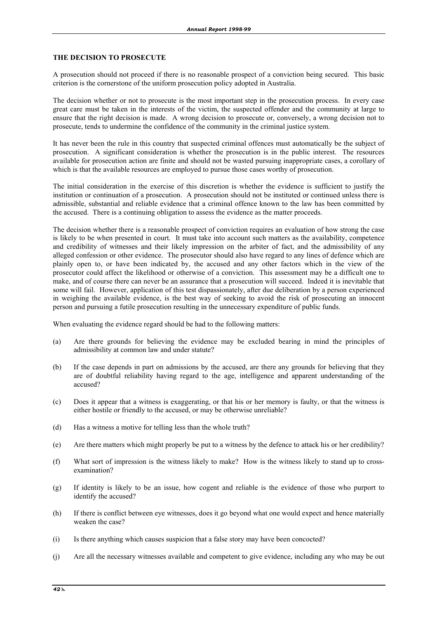#### **THE DECISION TO PROSECUTE**

A prosecution should not proceed if there is no reasonable prospect of a conviction being secured. This basic criterion is the cornerstone of the uniform prosecution policy adopted in Australia.

The decision whether or not to prosecute is the most important step in the prosecution process. In every case great care must be taken in the interests of the victim, the suspected offender and the community at large to ensure that the right decision is made. A wrong decision to prosecute or, conversely, a wrong decision not to prosecute, tends to undermine the confidence of the community in the criminal justice system.

It has never been the rule in this country that suspected criminal offences must automatically be the subject of prosecution. A significant consideration is whether the prosecution is in the public interest. The resources available for prosecution action are finite and should not be wasted pursuing inappropriate cases, a corollary of which is that the available resources are employed to pursue those cases worthy of prosecution.

The initial consideration in the exercise of this discretion is whether the evidence is sufficient to justify the institution or continuation of a prosecution. A prosecution should not be instituted or continued unless there is admissible, substantial and reliable evidence that a criminal offence known to the law has been committed by the accused. There is a continuing obligation to assess the evidence as the matter proceeds.

The decision whether there is a reasonable prospect of conviction requires an evaluation of how strong the case is likely to be when presented in court. It must take into account such matters as the availability, competence and credibility of witnesses and their likely impression on the arbiter of fact, and the admissibility of any alleged confession or other evidence. The prosecutor should also have regard to any lines of defence which are plainly open to, or have been indicated by, the accused and any other factors which in the view of the prosecutor could affect the likelihood or otherwise of a conviction. This assessment may be a difficult one to make, and of course there can never be an assurance that a prosecution will succeed. Indeed it is inevitable that some will fail. However, application of this test dispassionately, after due deliberation by a person experienced in weighing the available evidence, is the best way of seeking to avoid the risk of prosecuting an innocent person and pursuing a futile prosecution resulting in the unnecessary expenditure of public funds.

When evaluating the evidence regard should be had to the following matters:

- (a) Are there grounds for believing the evidence may be excluded bearing in mind the principles of admissibility at common law and under statute?
- (b) If the case depends in part on admissions by the accused, are there any grounds for believing that they are of doubtful reliability having regard to the age, intelligence and apparent understanding of the accused?
- (c) Does it appear that a witness is exaggerating, or that his or her memory is faulty, or that the witness is either hostile or friendly to the accused, or may be otherwise unreliable?
- (d) Has a witness a motive for telling less than the whole truth?
- (e) Are there matters which might properly be put to a witness by the defence to attack his or her credibility?
- (f) What sort of impression is the witness likely to make? How is the witness likely to stand up to crossexamination?
- (g) If identity is likely to be an issue, how cogent and reliable is the evidence of those who purport to identify the accused?
- (h) If there is conflict between eye witnesses, does it go beyond what one would expect and hence materially weaken the case?
- (i) Is there anything which causes suspicion that a false story may have been concocted?
- (j) Are all the necessary witnesses available and competent to give evidence, including any who may be out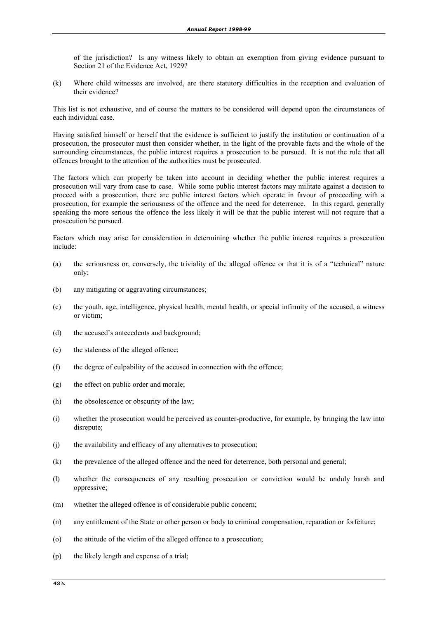of the jurisdiction? Is any witness likely to obtain an exemption from giving evidence pursuant to Section 21 of the Evidence Act, 1929?

(k) Where child witnesses are involved, are there statutory difficulties in the reception and evaluation of their evidence?

This list is not exhaustive, and of course the matters to be considered will depend upon the circumstances of each individual case.

Having satisfied himself or herself that the evidence is sufficient to justify the institution or continuation of a prosecution, the prosecutor must then consider whether, in the light of the provable facts and the whole of the surrounding circumstances, the public interest requires a prosecution to be pursued. It is not the rule that all offences brought to the attention of the authorities must be prosecuted.

The factors which can properly be taken into account in deciding whether the public interest requires a prosecution will vary from case to case. While some public interest factors may militate against a decision to proceed with a prosecution, there are public interest factors which operate in favour of proceeding with a prosecution, for example the seriousness of the offence and the need for deterrence. In this regard, generally speaking the more serious the offence the less likely it will be that the public interest will not require that a prosecution be pursued.

Factors which may arise for consideration in determining whether the public interest requires a prosecution include:

- (a) the seriousness or, conversely, the triviality of the alleged offence or that it is of a "technical" nature only;
- (b) any mitigating or aggravating circumstances;
- (c) the youth, age, intelligence, physical health, mental health, or special infirmity of the accused, a witness or victim;
- (d) the accused's antecedents and background;
- (e) the staleness of the alleged offence;
- (f) the degree of culpability of the accused in connection with the offence;
- (g) the effect on public order and morale;
- (h) the obsolescence or obscurity of the law;
- (i) whether the prosecution would be perceived as counter-productive, for example, by bringing the law into disrepute;
- (j) the availability and efficacy of any alternatives to prosecution;
- (k) the prevalence of the alleged offence and the need for deterrence, both personal and general;
- (l) whether the consequences of any resulting prosecution or conviction would be unduly harsh and oppressive;
- (m) whether the alleged offence is of considerable public concern;
- (n) any entitlement of the State or other person or body to criminal compensation, reparation or forfeiture;
- (o) the attitude of the victim of the alleged offence to a prosecution;
- (p) the likely length and expense of a trial;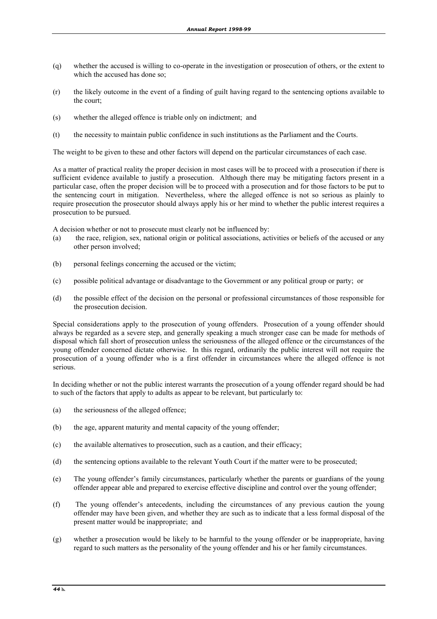- (q) whether the accused is willing to co-operate in the investigation or prosecution of others, or the extent to which the accused has done so;
- (r) the likely outcome in the event of a finding of guilt having regard to the sentencing options available to the court;
- (s) whether the alleged offence is triable only on indictment; and
- (t) the necessity to maintain public confidence in such institutions as the Parliament and the Courts.

The weight to be given to these and other factors will depend on the particular circumstances of each case.

As a matter of practical reality the proper decision in most cases will be to proceed with a prosecution if there is sufficient evidence available to justify a prosecution. Although there may be mitigating factors present in a particular case, often the proper decision will be to proceed with a prosecution and for those factors to be put to the sentencing court in mitigation. Nevertheless, where the alleged offence is not so serious as plainly to require prosecution the prosecutor should always apply his or her mind to whether the public interest requires a prosecution to be pursued.

A decision whether or not to prosecute must clearly not be influenced by:

- (a) the race, religion, sex, national origin or political associations, activities or beliefs of the accused or any other person involved;
- (b) personal feelings concerning the accused or the victim;
- (c) possible political advantage or disadvantage to the Government or any political group or party; or
- (d) the possible effect of the decision on the personal or professional circumstances of those responsible for the prosecution decision.

Special considerations apply to the prosecution of young offenders. Prosecution of a young offender should always be regarded as a severe step, and generally speaking a much stronger case can be made for methods of disposal which fall short of prosecution unless the seriousness of the alleged offence or the circumstances of the young offender concerned dictate otherwise. In this regard, ordinarily the public interest will not require the prosecution of a young offender who is a first offender in circumstances where the alleged offence is not serious.

In deciding whether or not the public interest warrants the prosecution of a young offender regard should be had to such of the factors that apply to adults as appear to be relevant, but particularly to:

- (a) the seriousness of the alleged offence;
- (b) the age, apparent maturity and mental capacity of the young offender;
- (c) the available alternatives to prosecution, such as a caution, and their efficacy;
- (d) the sentencing options available to the relevant Youth Court if the matter were to be prosecuted;
- (e) The young offender's family circumstances, particularly whether the parents or guardians of the young offender appear able and prepared to exercise effective discipline and control over the young offender;
- (f) The young offender's antecedents, including the circumstances of any previous caution the young offender may have been given, and whether they are such as to indicate that a less formal disposal of the present matter would be inappropriate; and
- (g) whether a prosecution would be likely to be harmful to the young offender or be inappropriate, having regard to such matters as the personality of the young offender and his or her family circumstances.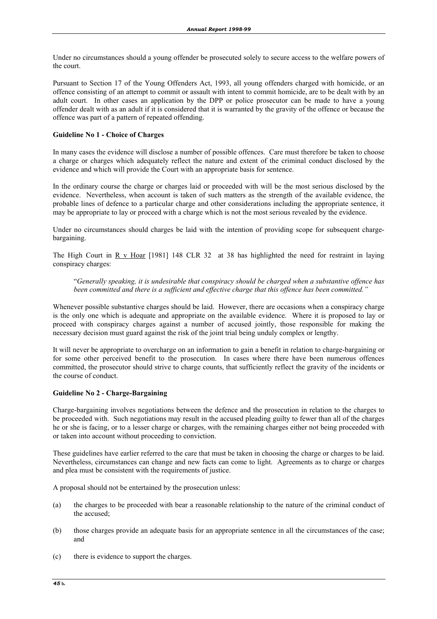Under no circumstances should a young offender be prosecuted solely to secure access to the welfare powers of the court.

Pursuant to Section 17 of the Young Offenders Act, 1993, all young offenders charged with homicide, or an offence consisting of an attempt to commit or assault with intent to commit homicide, are to be dealt with by an adult court. In other cases an application by the DPP or police prosecutor can be made to have a young offender dealt with as an adult if it is considered that it is warranted by the gravity of the offence or because the offence was part of a pattern of repeated offending.

#### **Guideline No 1 - Choice of Charges**

In many cases the evidence will disclose a number of possible offences. Care must therefore be taken to choose a charge or charges which adequately reflect the nature and extent of the criminal conduct disclosed by the evidence and which will provide the Court with an appropriate basis for sentence.

In the ordinary course the charge or charges laid or proceeded with will be the most serious disclosed by the evidence. Nevertheless, when account is taken of such matters as the strength of the available evidence, the probable lines of defence to a particular charge and other considerations including the appropriate sentence, it may be appropriate to lay or proceed with a charge which is not the most serious revealed by the evidence.

Under no circumstances should charges be laid with the intention of providing scope for subsequent chargebargaining.

The High Court in R v Hoar [1981] 148 CLR 32 at 38 has highlighted the need for restraint in laying conspiracy charges:

 "*Generally speaking, it is undesirable that conspiracy should be charged when a substantive offence has been committed and there is a sufficient and effective charge that this offence has been committed."*

Whenever possible substantive charges should be laid. However, there are occasions when a conspiracy charge is the only one which is adequate and appropriate on the available evidence. Where it is proposed to lay or proceed with conspiracy charges against a number of accused jointly, those responsible for making the necessary decision must guard against the risk of the joint trial being unduly complex or lengthy.

It will never be appropriate to overcharge on an information to gain a benefit in relation to charge-bargaining or for some other perceived benefit to the prosecution. In cases where there have been numerous offences committed, the prosecutor should strive to charge counts, that sufficiently reflect the gravity of the incidents or the course of conduct.

#### **Guideline No 2 - Charge-Bargaining**

Charge-bargaining involves negotiations between the defence and the prosecution in relation to the charges to be proceeded with. Such negotiations may result in the accused pleading guilty to fewer than all of the charges he or she is facing, or to a lesser charge or charges, with the remaining charges either not being proceeded with or taken into account without proceeding to conviction.

These guidelines have earlier referred to the care that must be taken in choosing the charge or charges to be laid. Nevertheless, circumstances can change and new facts can come to light. Agreements as to charge or charges and plea must be consistent with the requirements of justice.

A proposal should not be entertained by the prosecution unless:

- (a) the charges to be proceeded with bear a reasonable relationship to the nature of the criminal conduct of the accused;
- (b) those charges provide an adequate basis for an appropriate sentence in all the circumstances of the case; and
- (c) there is evidence to support the charges.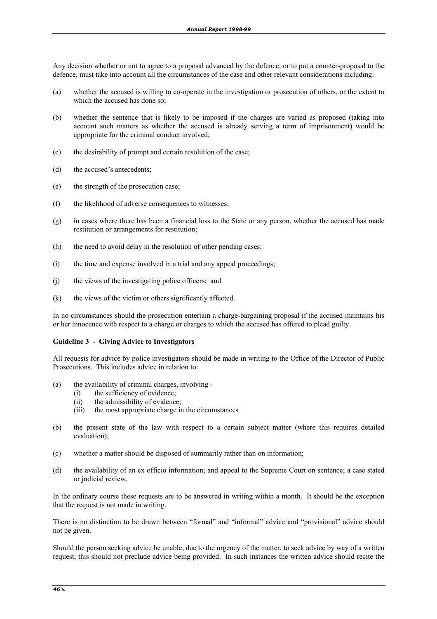Any decision whether or not to agree to a proposal advanced by the defence, or to put a counter-proposal to the defence, must take into account all the circumstances of the case and other relevant considerations including:

- (a) whether the accused is willing to co-operate in the investigation or prosecution of others, or the extent to which the accused has done so;
- (b) whether the sentence that is likely to be imposed if the charges are varied as proposed (taking into account such matters as whether the accused is already serving a term of imprisonment) would be appropriate for the criminal conduct involved;
- (c) the desirability of prompt and certain resolution of the case;
- (d) the accused's antecedents;
- (e) the strength of the prosecution case;
- (f) the likelihood of adverse consequences to witnesses;
- (g) in cases where there has been a financial loss to the State or any person, whether the accused has made restitution or arrangements for restitution;
- (h) the need to avoid delay in the resolution of other pending cases;
- (i) the time and expense involved in a trial and any appeal proceedings;
- (j) the views of the investigating police officers; and
- (k) the views of the victim or others significantly affected.

In no circumstances should the prosecution entertain a charge-bargaining proposal if the accused maintains his or her innocence with respect to a charge or charges to which the accused has offered to plead guilty.

#### **Guideline 3 - Giving Advice to Investigators**

All requests for advice by police investigators should be made in writing to the Office of the Director of Public Prosecutions. This includes advice in relation to:

- (a) the availability of criminal charges, involving
	- (i) the sufficiency of evidence;
	- (ii) the admissibility of evidence;
	- (iii) the most appropriate charge in the circumstances
- (b) the present state of the law with respect to a certain subject matter (where this requires detailed evaluation);
- (c) whether a matter should be disposed of summarily rather than on information;
- (d) the availability of an ex officio information; and appeal to the Supreme Court on sentence; a case stated or judicial review.

In the ordinary course these requests are to be answered in writing within a month. It should be the exception that the request is not made in writing.

There is no distinction to be drawn between "formal" and "informal" advice and "provisional" advice should not be given.

Should the person seeking advice be unable, due to the urgency of the matter, to seek advice by way of a written request, this should not preclude advice being provided. In such instances the written advice should recite the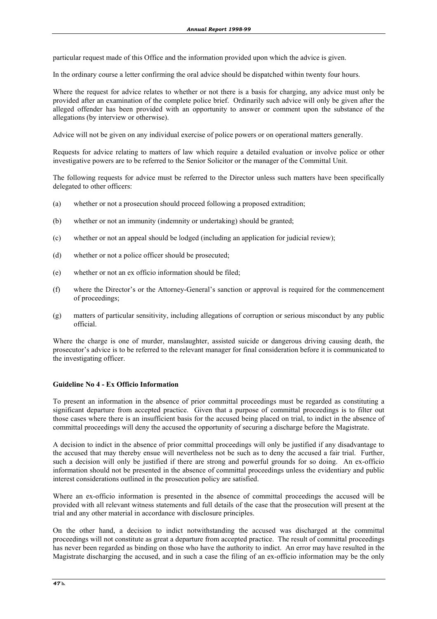particular request made of this Office and the information provided upon which the advice is given.

In the ordinary course a letter confirming the oral advice should be dispatched within twenty four hours.

Where the request for advice relates to whether or not there is a basis for charging, any advice must only be provided after an examination of the complete police brief. Ordinarily such advice will only be given after the alleged offender has been provided with an opportunity to answer or comment upon the substance of the allegations (by interview or otherwise).

Advice will not be given on any individual exercise of police powers or on operational matters generally.

Requests for advice relating to matters of law which require a detailed evaluation or involve police or other investigative powers are to be referred to the Senior Solicitor or the manager of the Committal Unit.

The following requests for advice must be referred to the Director unless such matters have been specifically delegated to other officers:

- (a) whether or not a prosecution should proceed following a proposed extradition;
- (b) whether or not an immunity (indemnity or undertaking) should be granted;
- (c) whether or not an appeal should be lodged (including an application for judicial review);
- (d) whether or not a police officer should be prosecuted;
- (e) whether or not an ex officio information should be filed;
- (f) where the Director's or the Attorney-General's sanction or approval is required for the commencement of proceedings;
- (g) matters of particular sensitivity, including allegations of corruption or serious misconduct by any public official.

Where the charge is one of murder, manslaughter, assisted suicide or dangerous driving causing death, the prosecutor's advice is to be referred to the relevant manager for final consideration before it is communicated to the investigating officer.

#### **Guideline No 4 - Ex Officio Information**

To present an information in the absence of prior committal proceedings must be regarded as constituting a significant departure from accepted practice. Given that a purpose of committal proceedings is to filter out those cases where there is an insufficient basis for the accused being placed on trial, to indict in the absence of committal proceedings will deny the accused the opportunity of securing a discharge before the Magistrate.

A decision to indict in the absence of prior committal proceedings will only be justified if any disadvantage to the accused that may thereby ensue will nevertheless not be such as to deny the accused a fair trial. Further, such a decision will only be justified if there are strong and powerful grounds for so doing. An ex-officio information should not be presented in the absence of committal proceedings unless the evidentiary and public interest considerations outlined in the prosecution policy are satisfied.

Where an ex-officio information is presented in the absence of committal proceedings the accused will be provided with all relevant witness statements and full details of the case that the prosecution will present at the trial and any other material in accordance with disclosure principles.

On the other hand, a decision to indict notwithstanding the accused was discharged at the committal proceedings will not constitute as great a departure from accepted practice. The result of committal proceedings has never been regarded as binding on those who have the authority to indict. An error may have resulted in the Magistrate discharging the accused, and in such a case the filing of an ex-officio information may be the only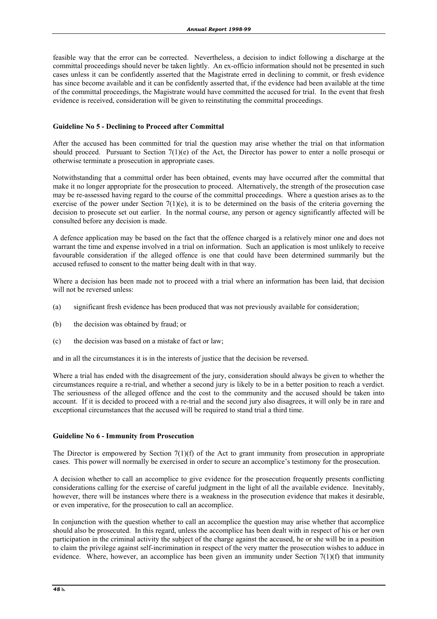feasible way that the error can be corrected. Nevertheless, a decision to indict following a discharge at the committal proceedings should never be taken lightly. An ex-officio information should not be presented in such cases unless it can be confidently asserted that the Magistrate erred in declining to commit, or fresh evidence has since become available and it can be confidently asserted that, if the evidence had been available at the time of the committal proceedings, the Magistrate would have committed the accused for trial. In the event that fresh evidence is received, consideration will be given to reinstituting the committal proceedings.

#### **Guideline No 5 - Declining to Proceed after Committal**

After the accused has been committed for trial the question may arise whether the trial on that information should proceed. Pursuant to Section  $7(1)(e)$  of the Act, the Director has power to enter a nolle prosequi or otherwise terminate a prosecution in appropriate cases.

Notwithstanding that a committal order has been obtained, events may have occurred after the committal that make it no longer appropriate for the prosecution to proceed. Alternatively, the strength of the prosecution case may be re-assessed having regard to the course of the committal proceedings. Where a question arises as to the exercise of the power under Section  $7(1)(e)$ , it is to be determined on the basis of the criteria governing the decision to prosecute set out earlier. In the normal course, any person or agency significantly affected will be consulted before any decision is made.

A defence application may be based on the fact that the offence charged is a relatively minor one and does not warrant the time and expense involved in a trial on information. Such an application is most unlikely to receive favourable consideration if the alleged offence is one that could have been determined summarily but the accused refused to consent to the matter being dealt with in that way.

Where a decision has been made not to proceed with a trial where an information has been laid, that decision will not be reversed unless:

- (a) significant fresh evidence has been produced that was not previously available for consideration;
- (b) the decision was obtained by fraud; or
- (c) the decision was based on a mistake of fact or law;

and in all the circumstances it is in the interests of justice that the decision be reversed.

Where a trial has ended with the disagreement of the jury, consideration should always be given to whether the circumstances require a re-trial, and whether a second jury is likely to be in a better position to reach a verdict. The seriousness of the alleged offence and the cost to the community and the accused should be taken into account. If it is decided to proceed with a re-trial and the second jury also disagrees, it will only be in rare and exceptional circumstances that the accused will be required to stand trial a third time.

#### **Guideline No 6 - Immunity from Prosecution**

The Director is empowered by Section  $7(1)(f)$  of the Act to grant immunity from prosecution in appropriate cases. This power will normally be exercised in order to secure an accomplice's testimony for the prosecution.

A decision whether to call an accomplice to give evidence for the prosecution frequently presents conflicting considerations calling for the exercise of careful judgment in the light of all the available evidence. Inevitably, however, there will be instances where there is a weakness in the prosecution evidence that makes it desirable, or even imperative, for the prosecution to call an accomplice.

In conjunction with the question whether to call an accomplice the question may arise whether that accomplice should also be prosecuted. In this regard, unless the accomplice has been dealt with in respect of his or her own participation in the criminal activity the subject of the charge against the accused, he or she will be in a position to claim the privilege against self-incrimination in respect of the very matter the prosecution wishes to adduce in evidence. Where, however, an accomplice has been given an immunity under Section  $7(1)(f)$  that immunity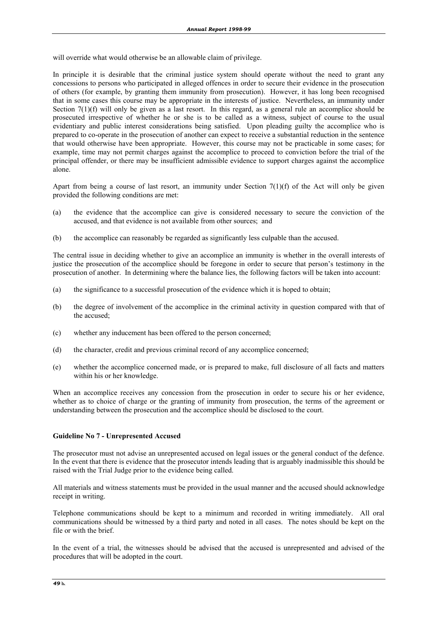will override what would otherwise be an allowable claim of privilege.

In principle it is desirable that the criminal justice system should operate without the need to grant any concessions to persons who participated in alleged offences in order to secure their evidence in the prosecution of others (for example, by granting them immunity from prosecution). However, it has long been recognised that in some cases this course may be appropriate in the interests of justice. Nevertheless, an immunity under Section 7(1)(f) will only be given as a last resort. In this regard, as a general rule an accomplice should be prosecuted irrespective of whether he or she is to be called as a witness, subject of course to the usual evidentiary and public interest considerations being satisfied. Upon pleading guilty the accomplice who is prepared to co-operate in the prosecution of another can expect to receive a substantial reduction in the sentence that would otherwise have been appropriate. However, this course may not be practicable in some cases; for example, time may not permit charges against the accomplice to proceed to conviction before the trial of the principal offender, or there may be insufficient admissible evidence to support charges against the accomplice alone.

Apart from being a course of last resort, an immunity under Section  $7(1)(f)$  of the Act will only be given provided the following conditions are met:

- (a) the evidence that the accomplice can give is considered necessary to secure the conviction of the accused, and that evidence is not available from other sources; and
- (b) the accomplice can reasonably be regarded as significantly less culpable than the accused.

The central issue in deciding whether to give an accomplice an immunity is whether in the overall interests of justice the prosecution of the accomplice should be foregone in order to secure that person's testimony in the prosecution of another. In determining where the balance lies, the following factors will be taken into account:

- (a) the significance to a successful prosecution of the evidence which it is hoped to obtain;
- (b) the degree of involvement of the accomplice in the criminal activity in question compared with that of the accused;
- (c) whether any inducement has been offered to the person concerned;
- (d) the character, credit and previous criminal record of any accomplice concerned;
- (e) whether the accomplice concerned made, or is prepared to make, full disclosure of all facts and matters within his or her knowledge.

When an accomplice receives any concession from the prosecution in order to secure his or her evidence, whether as to choice of charge or the granting of immunity from prosecution, the terms of the agreement or understanding between the prosecution and the accomplice should be disclosed to the court.

#### **Guideline No 7 - Unrepresented Accused**

The prosecutor must not advise an unrepresented accused on legal issues or the general conduct of the defence. In the event that there is evidence that the prosecutor intends leading that is arguably inadmissible this should be raised with the Trial Judge prior to the evidence being called.

All materials and witness statements must be provided in the usual manner and the accused should acknowledge receipt in writing.

Telephone communications should be kept to a minimum and recorded in writing immediately. All oral communications should be witnessed by a third party and noted in all cases. The notes should be kept on the file or with the brief.

In the event of a trial, the witnesses should be advised that the accused is unrepresented and advised of the procedures that will be adopted in the court.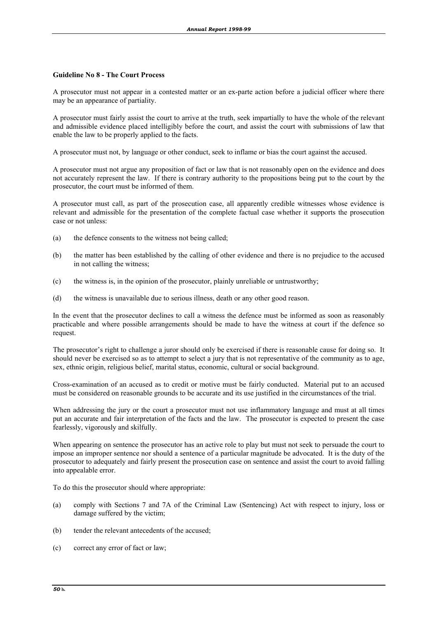#### **Guideline No 8 - The Court Process**

A prosecutor must not appear in a contested matter or an ex-parte action before a judicial officer where there may be an appearance of partiality.

A prosecutor must fairly assist the court to arrive at the truth, seek impartially to have the whole of the relevant and admissible evidence placed intelligibly before the court, and assist the court with submissions of law that enable the law to be properly applied to the facts.

A prosecutor must not, by language or other conduct, seek to inflame or bias the court against the accused.

A prosecutor must not argue any proposition of fact or law that is not reasonably open on the evidence and does not accurately represent the law. If there is contrary authority to the propositions being put to the court by the prosecutor, the court must be informed of them.

A prosecutor must call, as part of the prosecution case, all apparently credible witnesses whose evidence is relevant and admissible for the presentation of the complete factual case whether it supports the prosecution case or not unless:

- (a) the defence consents to the witness not being called;
- (b) the matter has been established by the calling of other evidence and there is no prejudice to the accused in not calling the witness;
- (c) the witness is, in the opinion of the prosecutor, plainly unreliable or untrustworthy;
- (d) the witness is unavailable due to serious illness, death or any other good reason.

In the event that the prosecutor declines to call a witness the defence must be informed as soon as reasonably practicable and where possible arrangements should be made to have the witness at court if the defence so request.

The prosecutor's right to challenge a juror should only be exercised if there is reasonable cause for doing so. It should never be exercised so as to attempt to select a jury that is not representative of the community as to age, sex, ethnic origin, religious belief, marital status, economic, cultural or social background.

Cross-examination of an accused as to credit or motive must be fairly conducted. Material put to an accused must be considered on reasonable grounds to be accurate and its use justified in the circumstances of the trial.

When addressing the jury or the court a prosecutor must not use inflammatory language and must at all times put an accurate and fair interpretation of the facts and the law. The prosecutor is expected to present the case fearlessly, vigorously and skilfully.

When appearing on sentence the prosecutor has an active role to play but must not seek to persuade the court to impose an improper sentence nor should a sentence of a particular magnitude be advocated. It is the duty of the prosecutor to adequately and fairly present the prosecution case on sentence and assist the court to avoid falling into appealable error.

To do this the prosecutor should where appropriate:

- (a) comply with Sections 7 and 7A of the Criminal Law (Sentencing) Act with respect to injury, loss or damage suffered by the victim;
- (b) tender the relevant antecedents of the accused;
- (c) correct any error of fact or law;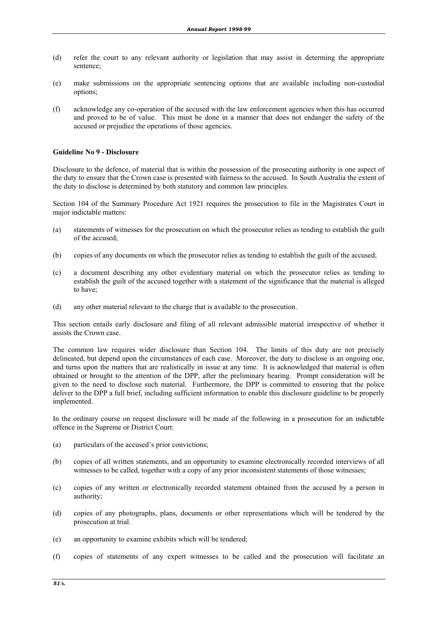- (d) refer the court to any relevant authority or legislation that may assist in determing the appropriate sentence;
- (e) make submissions on the appropriate sentencing options that are available including non-custodial options;
- (f) acknowledge any co-operation of the accused with the law enforcement agencies when this has occurred and proved to be of value. This must be done in a manner that does not endanger the safety of the accused or prejudice the operations of those agencies.

#### **Guideline No 9 - Disclosure**

Disclosure to the defence, of material that is within the possession of the prosecuting authority is one aspect of the duty to ensure that the Crown case is presented with fairness to the accused. In South Australia the extent of the duty to disclose is determined by both statutory and common law principles.

Section 104 of the Summary Procedure Act 1921 requires the prosecution to file in the Magistrates Court in major indictable matters:

- (a) statements of witnesses for the prosecution on which the prosecutor relies as tending to establish the guilt of the accused;
- (b) copies of any documents on which the prosecutor relies as tending to establish the guilt of the accused;
- (c) a document describing any other evidentiary material on which the prosecutor relies as tending to establish the guilt of the accused together with a statement of the significance that the material is alleged to have;
- (d) any other material relevant to the charge that is available to the prosecution.

This section entails early disclosure and filing of all relevant admissible material irrespective of whether it assists the Crown case.

The common law requires wider disclosure than Section 104. The limits of this duty are not precisely delineated, but depend upon the circumstances of each case. Moreover, the duty to disclose is an ongoing one, and turns upon the matters that are realistically in issue at any time. It is acknowledged that material is often obtained or brought to the attention of the DPP, after the preliminary hearing. Prompt consideration will be given to the need to disclose such material. Furthermore, the DPP is committed to ensuring that the police deliver to the DPP a full brief, including sufficient information to enable this disclosure guideline to be properly implemented.

In the ordinary course on request disclosure will be made of the following in a prosecution for an indictable offence in the Supreme or District Court:

- (a) particulars of the accused's prior convictions;
- (b) copies of all written statements, and an opportunity to examine electronically recorded interviews of all witnesses to be called, together with a copy of any prior inconsistent statements of those witnesses;
- (c) copies of any written or electronically recorded statement obtained from the accused by a person in authority;
- (d) copies of any photographs, plans, documents or other representations which will be tendered by the prosecution at trial.
- (e) an opportunity to examine exhibits which will be tendered;
- (f) copies of statements of any expert witnesses to be called and the prosecution will facilitate an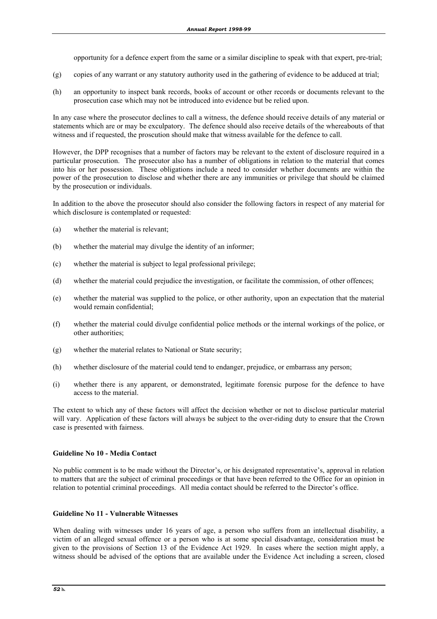opportunity for a defence expert from the same or a similar discipline to speak with that expert, pre-trial;

- (g) copies of any warrant or any statutory authority used in the gathering of evidence to be adduced at trial;
- (h) an opportunity to inspect bank records, books of account or other records or documents relevant to the prosecution case which may not be introduced into evidence but be relied upon.

In any case where the prosecutor declines to call a witness, the defence should receive details of any material or statements which are or may be exculpatory. The defence should also receive details of the whereabouts of that witness and if requested, the proscution should make that witness available for the defence to call.

However, the DPP recognises that a number of factors may be relevant to the extent of disclosure required in a particular prosecution. The prosecutor also has a number of obligations in relation to the material that comes into his or her possession. These obligations include a need to consider whether documents are within the power of the prosecution to disclose and whether there are any immunities or privilege that should be claimed by the prosecution or individuals.

In addition to the above the prosecutor should also consider the following factors in respect of any material for which disclosure is contemplated or requested:

- (a) whether the material is relevant;
- (b) whether the material may divulge the identity of an informer;
- (c) whether the material is subject to legal professional privilege;
- (d) whether the material could prejudice the investigation, or facilitate the commission, of other offences;
- (e) whether the material was supplied to the police, or other authority, upon an expectation that the material would remain confidential;
- (f) whether the material could divulge confidential police methods or the internal workings of the police, or other authorities;
- (g) whether the material relates to National or State security;
- (h) whether disclosure of the material could tend to endanger, prejudice, or embarrass any person;
- (i) whether there is any apparent, or demonstrated, legitimate forensic purpose for the defence to have access to the material.

The extent to which any of these factors will affect the decision whether or not to disclose particular material will vary. Application of these factors will always be subject to the over-riding duty to ensure that the Crown case is presented with fairness.

#### **Guideline No 10 - Media Contact**

No public comment is to be made without the Director's, or his designated representative's, approval in relation to matters that are the subject of criminal proceedings or that have been referred to the Office for an opinion in relation to potential criminal proceedings. All media contact should be referred to the Director's office.

#### **Guideline No 11 - Vulnerable Witnesses**

When dealing with witnesses under 16 years of age, a person who suffers from an intellectual disability, a victim of an alleged sexual offence or a person who is at some special disadvantage, consideration must be given to the provisions of Section 13 of the Evidence Act 1929. In cases where the section might apply, a witness should be advised of the options that are available under the Evidence Act including a screen, closed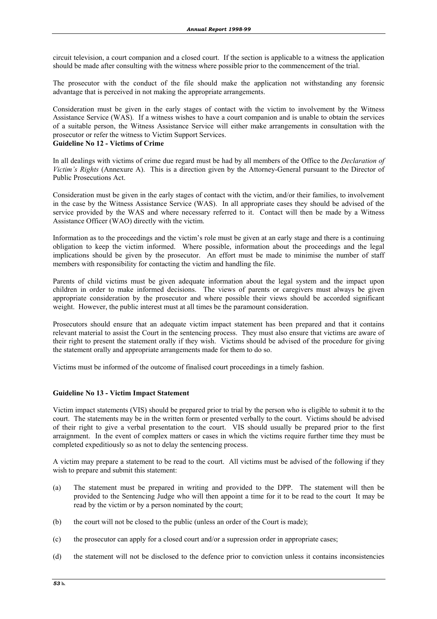circuit television, a court companion and a closed court. If the section is applicable to a witness the application should be made after consulting with the witness where possible prior to the commencement of the trial.

The prosecutor with the conduct of the file should make the application not withstanding any forensic advantage that is perceived in not making the appropriate arrangements.

Consideration must be given in the early stages of contact with the victim to involvement by the Witness Assistance Service (WAS). If a witness wishes to have a court companion and is unable to obtain the services of a suitable person, the Witness Assistance Service will either make arrangements in consultation with the prosecutor or refer the witness to Victim Support Services.

#### **Guideline No 12 - Victims of Crime**

In all dealings with victims of crime due regard must be had by all members of the Office to the *Declaration of Victim's Rights* (Annexure A). This is a direction given by the Attorney-General pursuant to the Director of Public Prosecutions Act.

Consideration must be given in the early stages of contact with the victim, and/or their families, to involvement in the case by the Witness Assistance Service (WAS). In all appropriate cases they should be advised of the service provided by the WAS and where necessary referred to it. Contact will then be made by a Witness Assistance Officer (WAO) directly with the victim.

Information as to the proceedings and the victim's role must be given at an early stage and there is a continuing obligation to keep the victim informed. Where possible, information about the proceedings and the legal implications should be given by the prosecutor. An effort must be made to minimise the number of staff members with responsibility for contacting the victim and handling the file.

Parents of child victims must be given adequate information about the legal system and the impact upon children in order to make informed decisions. The views of parents or caregivers must always be given appropriate consideration by the prosecutor and where possible their views should be accorded significant weight. However, the public interest must at all times be the paramount consideration.

Prosecutors should ensure that an adequate victim impact statement has been prepared and that it contains relevant material to assist the Court in the sentencing process. They must also ensure that victims are aware of their right to present the statement orally if they wish. Victims should be advised of the procedure for giving the statement orally and appropriate arrangements made for them to do so.

Victims must be informed of the outcome of finalised court proceedings in a timely fashion.

#### **Guideline No 13 - Victim Impact Statement**

Victim impact statements (VIS) should be prepared prior to trial by the person who is eligible to submit it to the court. The statements may be in the written form or presented verbally to the court. Victims should be advised of their right to give a verbal presentation to the court. VIS should usually be prepared prior to the first arraignment. In the event of complex matters or cases in which the victims require further time they must be completed expeditiously so as not to delay the sentencing process.

A victim may prepare a statement to be read to the court. All victims must be advised of the following if they wish to prepare and submit this statement:

- (a) The statement must be prepared in writing and provided to the DPP. The statement will then be provided to the Sentencing Judge who will then appoint a time for it to be read to the court It may be read by the victim or by a person nominated by the court;
- (b) the court will not be closed to the public (unless an order of the Court is made);
- (c) the prosecutor can apply for a closed court and/or a supression order in appropriate cases;
- (d) the statement will not be disclosed to the defence prior to conviction unless it contains inconsistencies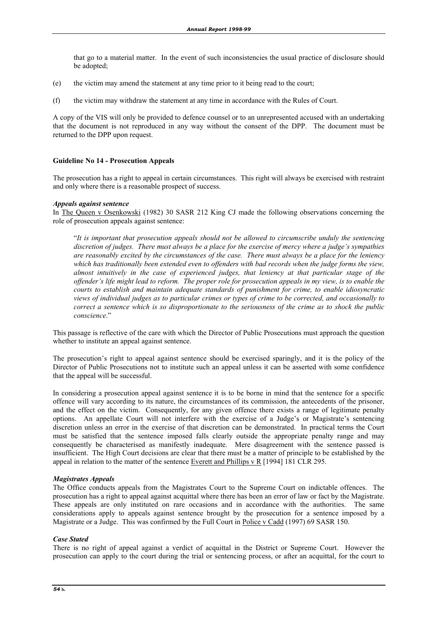that go to a material matter. In the event of such inconsistencies the usual practice of disclosure should be adopted;

- (e) the victim may amend the statement at any time prior to it being read to the court;
- (f) the victim may withdraw the statement at any time in accordance with the Rules of Court.

A copy of the VIS will only be provided to defence counsel or to an unrepresented accused with an undertaking that the document is not reproduced in any way without the consent of the DPP. The document must be returned to the DPP upon request.

#### **Guideline No 14 - Prosecution Appeals**

The prosecution has a right to appeal in certain circumstances. This right will always be exercised with restraint and only where there is a reasonable prospect of success.

#### *Appeals against sentence*

In The Queen v Osenkowski (1982) 30 SASR 212 King CJ made the following observations concerning the role of prosecution appeals against sentence:

 "*It is important that prosecution appeals should not be allowed to circumscribe unduly the sentencing discretion of judges. There must always be a place for the exercise of mercy where a judge's sympathies are reasonably excited by the circumstances of the case. There must always be a place for the leniency which has traditionally been extended even to offenders with bad records when the judge forms the view, almost intuitively in the case of experienced judges, that leniency at that particular stage of the offender's life might lead to reform. The proper role for prosecution appeals in my view, is to enable the courts to establish and maintain adequate standards of punishment for crime, to enable idiosyncratic views of individual judges as to particular crimes or types of crime to be corrected, and occasionally to correct a sentence which is so disproportionate to the seriousness of the crime as to shock the public conscience*."

This passage is reflective of the care with which the Director of Public Prosecutions must approach the question whether to institute an appeal against sentence.

The prosecution's right to appeal against sentence should be exercised sparingly, and it is the policy of the Director of Public Prosecutions not to institute such an appeal unless it can be asserted with some confidence that the appeal will be successful.

In considering a prosecution appeal against sentence it is to be borne in mind that the sentence for a specific offence will vary according to its nature, the circumstances of its commission, the antecedents of the prisoner, and the effect on the victim. Consequently, for any given offence there exists a range of legitimate penalty options. An appellate Court will not interfere with the exercise of a Judge's or Magistrate's sentencing discretion unless an error in the exercise of that discretion can be demonstrated. In practical terms the Court must be satisfied that the sentence imposed falls clearly outside the appropriate penalty range and may consequently be characterised as manifestly inadequate. Mere disagreement with the sentence passed is insufficient. The High Court decisions are clear that there must be a matter of principle to be established by the appeal in relation to the matter of the sentence Everett and Phillips v R [1994] 181 CLR 295.

#### *Magistrates Appeals*

The Office conducts appeals from the Magistrates Court to the Supreme Court on indictable offences. The prosecution has a right to appeal against acquittal where there has been an error of law or fact by the Magistrate. These appeals are only instituted on rare occasions and in accordance with the authorities. The same considerations apply to appeals against sentence brought by the prosecution for a sentence imposed by a Magistrate or a Judge. This was confirmed by the Full Court in Police v Cadd (1997) 69 SASR 150.

#### *Case Stated*

There is no right of appeal against a verdict of acquittal in the District or Supreme Court. However the prosecution can apply to the court during the trial or sentencing process, or after an acquittal, for the court to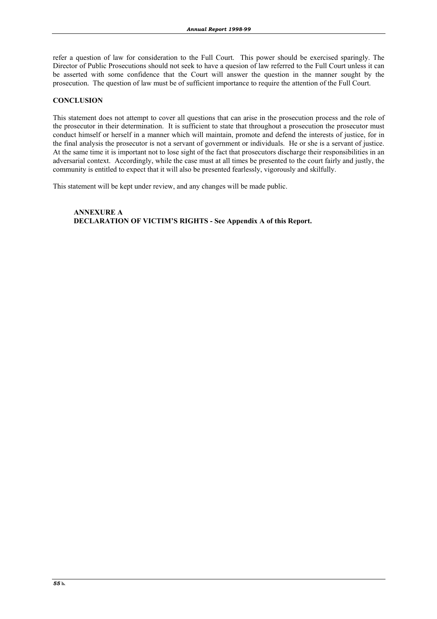refer a question of law for consideration to the Full Court. This power should be exercised sparingly. The Director of Public Prosecutions should not seek to have a quesion of law referred to the Full Court unless it can be asserted with some confidence that the Court will answer the question in the manner sought by the prosecution. The question of law must be of sufficient importance to require the attention of the Full Court.

#### **CONCLUSION**

This statement does not attempt to cover all questions that can arise in the prosecution process and the role of the prosecutor in their determination. It is sufficient to state that throughout a prosecution the prosecutor must conduct himself or herself in a manner which will maintain, promote and defend the interests of justice, for in the final analysis the prosecutor is not a servant of government or individuals. He or she is a servant of justice. At the same time it is important not to lose sight of the fact that prosecutors discharge their responsibilities in an adversarial context. Accordingly, while the case must at all times be presented to the court fairly and justly, the community is entitled to expect that it will also be presented fearlessly, vigorously and skilfully.

This statement will be kept under review, and any changes will be made public.

 **ANNEXURE A DECLARATION OF VICTIM'S RIGHTS - See Appendix A of this Report.**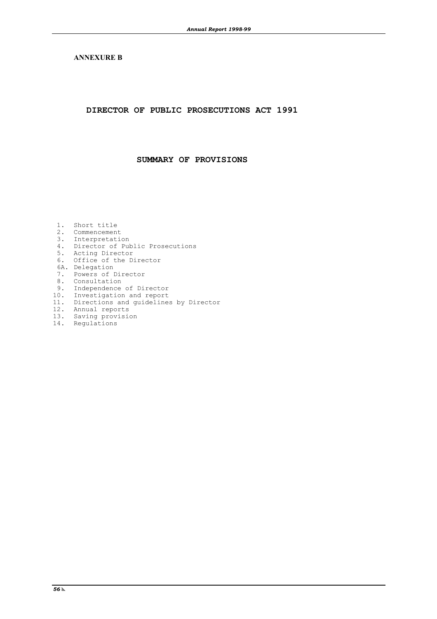#### **ANNEXURE B**

**DIRECTOR OF PUBLIC PROSECUTIONS ACT 1991**

**SUMMARY OF PROVISIONS**

- 1. Short title 2. Commencement 3. Interpretation 4. Director of Public Prosecutions 5. Acting Director 6. Office of the Director 6A. Delegation 7. Powers of Director 8. Consultation 9. Independence of Director 10. Investigation and report 11. Directions and report<br>11. Directions and guidelines by Director 12. Annual reports
- 13. Saving provision
- 14. Regulations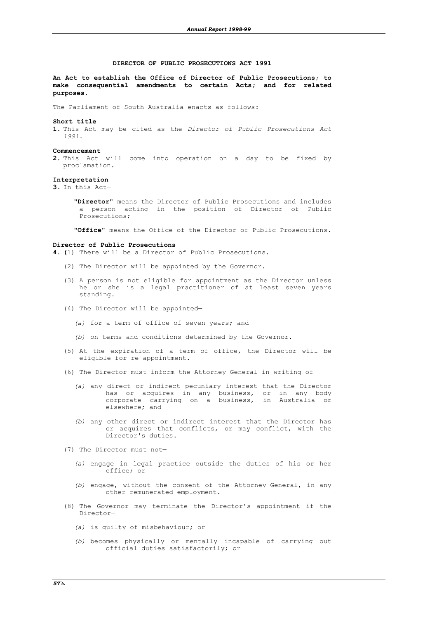#### **DIRECTOR OF PUBLIC PROSECUTIONS ACT 1991**

**An Act to establish the Office of Director of Public Prosecutions; to make consequential amendments to certain Acts; and for related purposes.**

The Parliament of South Australia enacts as follows:

#### **Short title**

**1.** This Act may be cited as the *Director of Public Prosecutions Act 1991*.

#### **Commencement**

**2.** This Act will come into operation on a day to be fixed by proclamation.

#### **Interpretation**

**3.** In this Act—

 "**Director**" means the Director of Public Prosecutions and includes a person acting in the position of Director of Public Prosecutions;

"**Office**" means the Office of the Director of Public Prosecutions.

#### **Director of Public Prosecutions**

**4. (**1) There will be a Director of Public Prosecutions.

- (2) The Director will be appointed by the Governor.
- (3) A person is not eligible for appointment as the Director unless he or she is a legal practitioner of at least seven years standing.
	- (4) The Director will be appointed—
		- *(a)* for a term of office of seven years; and
		- *(b)* on terms and conditions determined by the Governor.
	- (5) At the expiration of a term of office, the Director will be eligible for re-appointment.
	- (6) The Director must inform the Attorney-General in writing of—
		- *(a)* any direct or indirect pecuniary interest that the Director has or acquires in any business, or in any body corporate carrying on a business, in Australia or elsewhere; and
		- *(b)* any other direct or indirect interest that the Director has or acquires that conflicts, or may conflict, with the Director's duties.
	- (7) The Director must not—
		- *(a)* engage in legal practice outside the duties of his or her office; or
		- *(b)* engage, without the consent of the Attorney-General, in any other remunerated employment.
	- (8) The Governor may terminate the Director's appointment if the Director—
		- *(a)* is guilty of misbehaviour; or
		- *(b)* becomes physically or mentally incapable of carrying out official duties satisfactorily; or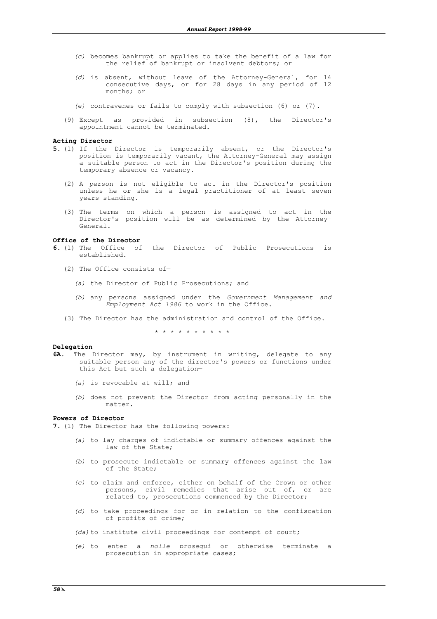- *(c)* becomes bankrupt or applies to take the benefit of a law for the relief of bankrupt or insolvent debtors; or
- *(d)* is absent, without leave of the Attorney-General, for 14 consecutive days, or for 28 days in any period of 12 months; or
- *(e)* contravenes or fails to comply with subsection (6) or (7).
- (9) Except as provided in subsection (8), the Director's appointment cannot be terminated.

#### **Acting Director**

- **5.** (1) If the Director is temporarily absent, or the Director's position is temporarily vacant, the Attorney-General may assign a suitable person to act in the Director's position during the temporary absence or vacancy.
	- (2) A person is not eligible to act in the Director's position unless he or she is a legal practitioner of at least seven years standing.
- (3) The terms on which a person is assigned to act in the Director's position will be as determined by the Attorney-General.

#### **Office of the Director**

- **6.** (1) The Office of the Director of Public Prosecutions is established.
	- (2) The Office consists of—
		- *(a)* the Director of Public Prosecutions; and
		- *(b)* any persons assigned under the *Government Management and Employment Act 1986* to work in the Office.
	- (3) The Director has the administration and control of the Office.

\* \* \* \* \* \* \* \* \* \*

#### **Delegation**

- **6A.** The Director may, by instrument in writing, delegate to any suitable person any of the director's powers or functions under this Act but such a delegation—
	- *(a)* is revocable at will; and
	- *(b)* does not prevent the Director from acting personally in the matter.

#### **Powers of Director**

**7.** (1) The Director has the following powers:

- *(a)* to lay charges of indictable or summary offences against the law of the State;
- *(b)* to prosecute indictable or summary offences against the law of the State;
- *(c)* to claim and enforce, either on behalf of the Crown or other persons, civil remedies that arise out of, or are related to, prosecutions commenced by the Director;
- *(d)* to take proceedings for or in relation to the confiscation of profits of crime;
- *(da)*to institute civil proceedings for contempt of court;
- *(e)* to enter a *nolle prosequi* or otherwise terminate a prosecution in appropriate cases;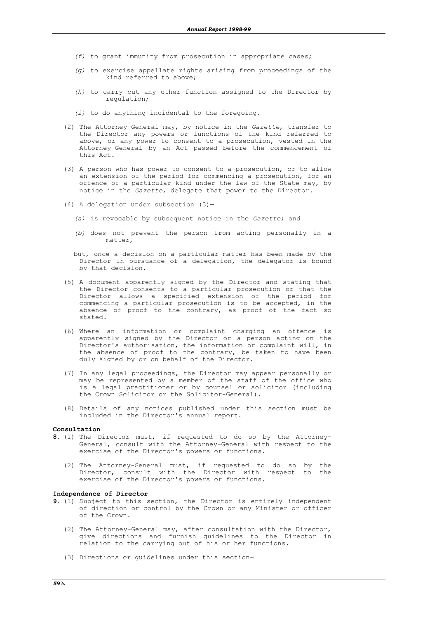- *(f)* to grant immunity from prosecution in appropriate cases;
- *(g)* to exercise appellate rights arising from proceedings of the kind referred to above;
- *(h)* to carry out any other function assigned to the Director by regulation;
- *(i)* to do anything incidental to the foregoing.
- (2) The Attorney-General may, by notice in the *Gazette*, transfer to the Director any powers or functions of the kind referred to above, or any power to consent to a prosecution, vested in the Attorney-General by an Act passed before the commencement of this Act.
- (3) A person who has power to consent to a prosecution, or to allow an extension of the period for commencing a prosecution, for an offence of a particular kind under the law of the State may, by notice in the *Gazette*, delegate that power to the Director.
	- (4) A delegation under subsection (3)—
		- *(a)* is revocable by subsequent notice in the *Gazette*; and
		- *(b)* does not prevent the person from acting personally in a matter,
		- but, once a decision on a particular matter has been made by the Director in pursuance of a delegation, the delegator is bound by that decision.
	- (5) A document apparently signed by the Director and stating that the Director consents to a particular prosecution or that the Director allows a specified extension of the period for commencing a particular prosecution is to be accepted, in the absence of proof to the contrary, as proof of the fact so stated.
	- (6) Where an information or complaint charging an offence is apparently signed by the Director or a person acting on the Director's authorisation, the information or complaint will, in the absence of proof to the contrary, be taken to have been duly signed by or on behalf of the Director.
	- (7) In any legal proceedings, the Director may appear personally or may be represented by a member of the staff of the office who is a legal practitioner or by counsel or solicitor (including the Crown Solicitor or the Solicitor-General).
	- (8) Details of any notices published under this section must be included in the Director's annual report.

#### **Consultation**

- **8.** (1) The Director must, if requested to do so by the Attorney-General, consult with the Attorney-General with respect to the exercise of the Director's powers or functions.
- (2) The Attorney-General must, if requested to do so by the Director, consult with the Director with respect to the exercise of the Director's powers or functions.

#### **Independence of Director**

- **9.** (1) Subject to this section, the Director is entirely independent of direction or control by the Crown or any Minister or officer of the Crown.
	- (2) The Attorney-General may, after consultation with the Director, give directions and furnish guidelines to the Director in relation to the carrying out of his or her functions.
	- (3) Directions or guidelines under this section—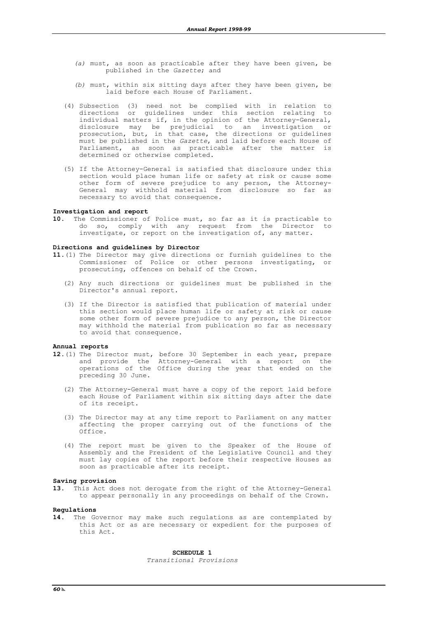- *(a)* must, as soon as practicable after they have been given, be published in the *Gazette*; and
- *(b)* must, within six sitting days after they have been given, be laid before each House of Parliament.
- (4) Subsection (3) need not be complied with in relation to directions or guidelines under this section relating to individual matters if, in the opinion of the Attorney-General, disclosure may be prejudicial to an investigation or prosecution, but, in that case, the directions or guidelines must be published in the *Gazette*, and laid before each House of Parliament, as soon as practicable after the matter is determined or otherwise completed.
- (5) If the Attorney-General is satisfied that disclosure under this section would place human life or safety at risk or cause some other form of severe prejudice to any person, the Attorney-General may withhold material from disclosure so far as necessary to avoid that consequence.

#### **Investigation and report**

**10.** The Commissioner of Police must, so far as it is practicable to do so, comply with any request from the Director to investigate, or report on the investigation of, any matter.

#### **Directions and guidelines by Director**

- **11.**(1) The Director may give directions or furnish guidelines to the Commissioner of Police or other persons investigating, or prosecuting, offences on behalf of the Crown.
	- (2) Any such directions or guidelines must be published in the Director's annual report.
	- (3) If the Director is satisfied that publication of material under this section would place human life or safety at risk or cause some other form of severe prejudice to any person, the Director may withhold the material from publication so far as necessary to avoid that consequence.

#### **Annual reports**

- **12.**(1) The Director must, before 30 September in each year, prepare and provide the Attorney-General with a report on the operations of the Office during the year that ended on the preceding 30 June.
	- (2) The Attorney-General must have a copy of the report laid before each House of Parliament within six sitting days after the date of its receipt.
	- (3) The Director may at any time report to Parliament on any matter affecting the proper carrying out of the functions of the Office.
	- (4) The report must be given to the Speaker of the House of Assembly and the President of the Legislative Council and they must lay copies of the report before their respective Houses as soon as practicable after its receipt.

#### **Saving provision**

**13.** This Act does not derogate from the right of the Attorney-General to appear personally in any proceedings on behalf of the Crown.

#### **Regulations**

**14.** The Governor may make such regulations as are contemplated by this Act or as are necessary or expedient for the purposes of this Act.

**SCHEDULE 1**

*Transitional Provisions*